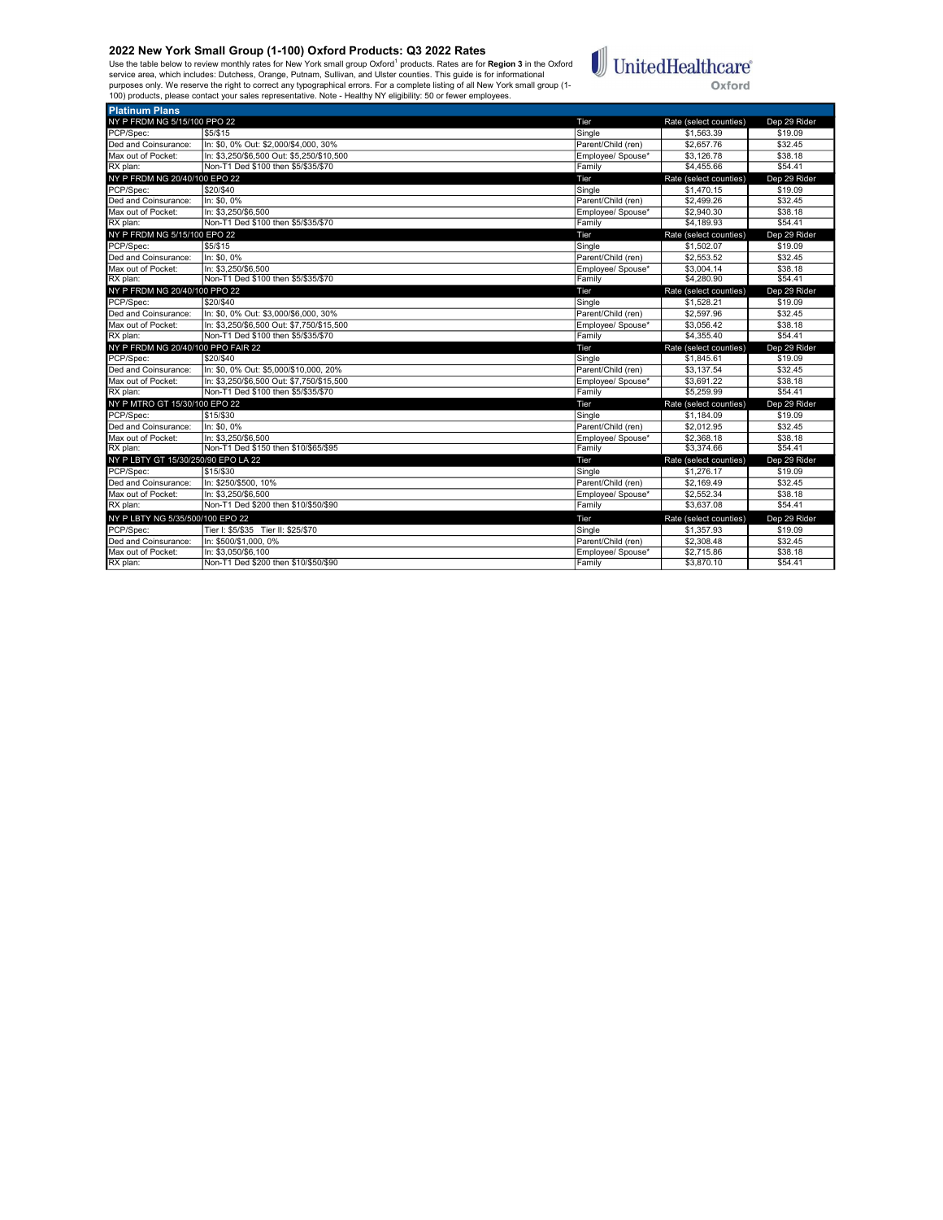Use the table below to review monthly rates for New York small group Oxford<sup>1</sup> products. Rates are for **Region 3** in the Oxford<br>service area, which includes: Dutchess, Orange, Putnam, Sullivan, and Ulster counties. This gu



| <b>Platinum Plans</b>               |                                           |                    |                        |                    |
|-------------------------------------|-------------------------------------------|--------------------|------------------------|--------------------|
| NY P FRDM NG 5/15/100 PPO 22        |                                           | Tier               | Rate (select counties) | Dep 29 Rider       |
| PCP/Spec:                           | \$5/\$15                                  | Single             | \$1,563.39             | \$19.09            |
| Ded and Coinsurance:                | In: \$0, 0% Out: \$2,000/\$4,000, 30%     | Parent/Child (ren) | \$2,657.76             | \$32.45            |
| Max out of Pocket:                  | In: \$3.250/\$6.500 Out: \$5.250/\$10.500 | Employee/ Spouse*  | \$3,126.78             | \$38.18            |
| RX plan:                            | Non-T1 Ded \$100 then \$5/\$35/\$70       | Family             | \$4,455.66             | \$54.41            |
| NY P FRDM NG 20/40/100 EPO 22       |                                           | Tier               | Rate (select counties) | Dep 29 Rider       |
| PCP/Spec:                           | \$20/\$40                                 | Single             | \$1,470.15             | \$19.09            |
| Ded and Coinsurance:                | In: \$0.0%                                | Parent/Child (ren) | \$2,499.26             | \$32.45            |
| Max out of Pocket:                  | In: \$3.250/\$6.500                       | Employee/ Spouse*  | \$2,940.30             | \$38.18            |
| RX plan:                            | Non-T1 Ded \$100 then \$5/\$35/\$70       | Family             | \$4,189.93             | \$54.41            |
| NY P FRDM NG 5/15/100 EPO 22        |                                           | Tier               | Rate (select counties) | Dep 29 Rider       |
| PCP/Spec:                           | \$5/\$15                                  | Single             | \$1,502.07             | \$19.09            |
| Ded and Coinsurance:                | In: \$0, 0%                               | Parent/Child (ren) | \$2,553.52             | \$32.45            |
| Max out of Pocket:                  | In: \$3.250/\$6.500                       | Employee/ Spouse*  | \$3,004.14             | \$38.18            |
| RX plan:                            | Non-T1 Ded \$100 then \$5/\$35/\$70       | Family             | \$4,280.90             | \$54.41            |
| NY P FRDM NG 20/40/100 PPO 22       |                                           | Tier               | Rate (select counties) | Dep 29 Rider       |
| PCP/Spec:                           | \$20/\$40                                 | Single             | \$1.528.21             | \$19.09            |
| Ded and Coinsurance:                | In: \$0, 0% Out: \$3,000/\$6,000, 30%     | Parent/Child (ren) | \$2,597.96             | \$32.45            |
| Max out of Pocket:                  | In: \$3.250/\$6.500 Out: \$7.750/\$15.500 | Employee/ Spouse*  | \$3.056.42             | \$38.18            |
| RX plan:                            |                                           |                    | \$4,355.40             |                    |
|                                     | Non-T1 Ded \$100 then \$5/\$35/\$70       | Family             |                        | \$54.41            |
| NY P FRDM NG 20/40/100 PPO FAIR 22  |                                           | Tier               | Rate (select counties) | Dep 29 Rider       |
| PCP/Spec:                           | \$20/\$40                                 | Single             | \$1,845.61             | \$19.09            |
| Ded and Coinsurance:                | In: \$0, 0% Out: \$5,000/\$10,000, 20%    | Parent/Child (ren) | \$3,137.54             | \$32.45            |
| Max out of Pocket:                  | In: \$3,250/\$6,500 Out: \$7,750/\$15,500 | Employee/ Spouse*  | \$3.691.22             | \$38.18            |
| RX plan:                            | Non-T1 Ded \$100 then \$5/\$35/\$70       | Family             | \$5,259.99             | \$54.41            |
| NY P MTRO GT 15/30/100 EPO 22       |                                           | Tier               | Rate (select counties) | Dep 29 Rider       |
| PCP/Spec:                           | \$15/\$30                                 | Single             | \$1.184.09             | \$19.09            |
| Ded and Coinsurance:                | In: \$0, 0%                               | Parent/Child (ren) | \$2,012.95             | \$32.45            |
| Max out of Pocket:                  | In: \$3.250/\$6.500                       | Employee/ Spouse*  | \$2,368.18             | \$38.18            |
| RX plan:                            | Non-T1 Ded \$150 then \$10/\$65/\$95      | Family             | \$3,374.66             | \$54.41            |
| NY P LBTY GT 15/30/250/90 EPO LA 22 |                                           | Tier               | Rate (select counties) | Dep 29 Rider       |
| PCP/Spec:                           | \$15/\$30                                 | Single             | \$1,276.17             | \$19.09            |
| Ded and Coinsurance:                | In: \$250/\$500, 10%                      | Parent/Child (ren) | \$2,169.49             | \$32.45            |
| Max out of Pocket:                  | In: \$3.250/\$6.500                       | Employee/ Spouse*  | \$2,552.34             | \$38.18            |
| RX plan:                            | Non-T1 Ded \$200 then \$10/\$50/\$90      | Family             | \$3,637.08             | \$54.41            |
| NY P LBTY NG 5/35/500/100 EPO 22    |                                           | Tier               | Rate (select counties) | Dep 29 Rider       |
| PCP/Spec:                           | Tier I: \$5/\$35 Tier II: \$25/\$70       | Sinale             | \$1,357.93             | \$19.09            |
| Ded and Coinsurance:                | In: \$500/\$1,000, 0%                     | Parent/Child (ren) | \$2,308.48             | \$32.45            |
| Max out of Pocket:<br>RX plan:      | In: \$3.050/\$6.100                       | Emplovee/ Spouse*  | \$2.715.86             | \$38.18<br>\$54.41 |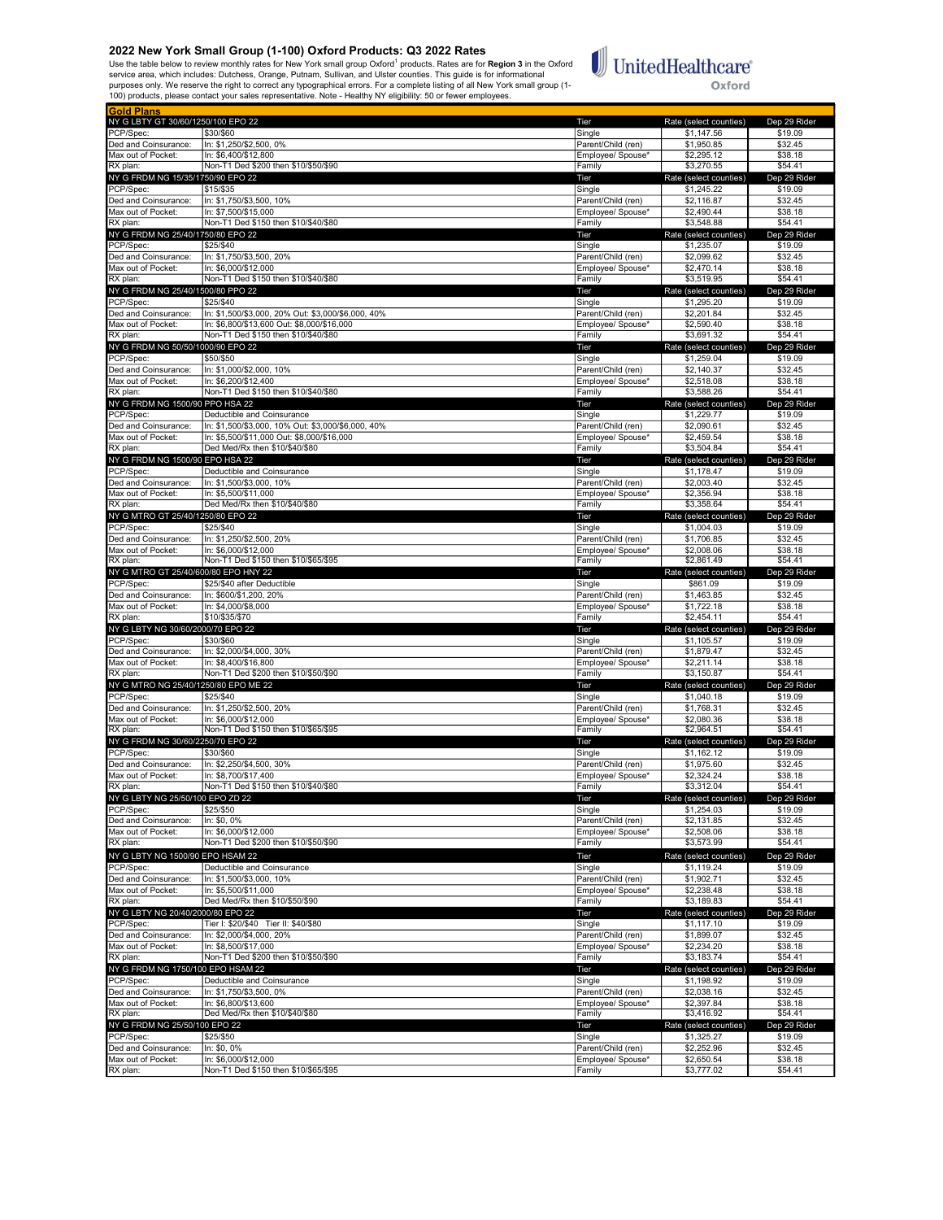Use the table below to review monthly rates for New York small group Oxford<sup>1</sup> products. Rates are for **Region 3** in the Oxford<br>service area, which includes: Dutchess, Orange, Putnam, Sullivan, and Ulster counties. This gu



| <b>Gold Plans</b>                              |                                                                 |                                         |                                      |                         |
|------------------------------------------------|-----------------------------------------------------------------|-----------------------------------------|--------------------------------------|-------------------------|
| NY G LBTY GT 30/60/1250/100 EPO 22             |                                                                 | Tier                                    | Rate (select counties)               | Dep 29 Rider            |
| PCP/Spec:                                      | \$30/\$60                                                       | Single                                  | \$1,147.56                           | \$19.09                 |
| Ded and Coinsurance:                           | In: \$1,250/\$2,500, 0%                                         | Parent/Child (ren)                      | \$1,950.85                           | \$32.45                 |
| Max out of Pocket:                             | In: \$6,400/\$12,800<br>Non-T1 Ded \$200 then \$10/\$50/\$90    | Emplovee/ Spouse*                       | \$2.295.12                           | \$38.18<br>\$54.41      |
| RX plan:                                       |                                                                 | Family                                  | \$3,270.55                           |                         |
| NY G FRDM NG 15/35/1750/90 EPO 22<br>PCP/Spec: | \$15/\$35                                                       | Tier<br>Single                          | Rate (select counties)<br>\$1,245.22 | Dep 29 Rider<br>\$19.09 |
| Ded and Coinsurance:                           | In: \$1,750/\$3,500, 10%                                        | Parent/Child (ren)                      | \$2,116.87                           | \$32.45                 |
| Max out of Pocket:                             | In: \$7,500/\$15,000                                            | Employee/ Spouse*                       | \$2,490.44                           | \$38.18                 |
| RX plan:                                       | Non-T1 Ded \$150 then \$10/\$40/\$80                            | Family                                  | \$3,548.88                           | \$54.41                 |
| NY G FRDM NG 25/40/1750/80 EPO 22              |                                                                 | Tier                                    | Rate (select counties)               | Dep 29 Rider            |
| PCP/Spec:                                      | \$25/\$40                                                       | Single                                  | \$1,235.07                           | \$19.09                 |
| Ded and Coinsurance:                           | In: \$1,750/\$3,500, 20%                                        | Parent/Child (ren)                      | \$2,099.62                           | \$32.45                 |
| Max out of Pocket:                             | In: \$6,000/\$12,000                                            | Employee/ Spouse*                       | \$2,470.14                           | \$38.18                 |
| RX plan:                                       | Non-T1 Ded \$150 then \$10/\$40/\$80                            | Family                                  | \$3,519.95                           | \$54.41                 |
| NY G FRDM NG 25/40/1500/80 PPO 22              |                                                                 | Tier                                    | Rate (select counties)               | Dep 29 Rider            |
| PCP/Spec:                                      | \$25/\$40<br>In: \$1,500/\$3,000, 20% Out: \$3,000/\$6,000, 40% | Single                                  | \$1,295.20                           | \$19.09                 |
| Ded and Coinsurance:<br>Max out of Pocket:     | In: \$6.800/\$13.600 Out: \$8.000/\$16.000                      | Parent/Child (ren)<br>Emplovee/ Spouse* | \$2,201.84<br>\$2,590.40             | \$32.45<br>\$38.18      |
| RX plan:                                       | Non-T1 Ded \$150 then \$10/\$40/\$80                            | Family                                  | \$3,691.32                           | \$54.41                 |
| NY G FRDM NG 50/50/1000/90 EPO 22              |                                                                 | Tier                                    | Rate (select counties)               | Dep 29 Rider            |
| PCP/Spec:                                      | \$50/\$50                                                       | Single                                  | \$1,259.04                           | \$19.09                 |
| Ded and Coinsurance:                           | In: \$1,000/\$2,000, 10%                                        | Parent/Child (ren)                      | $\overline{$2,140.37}$               | \$32.45                 |
| Max out of Pocket:                             | In: \$6,200/\$12,400                                            | Employee/ Spouse*                       | \$2,518.08                           | \$38.18                 |
| RX plan:                                       | Non-T1 Ded \$150 then \$10/\$40/\$80                            | Family                                  | \$3,588.26                           | \$54.41                 |
| NY G FRDM NG 1500/90 PPO HSA 22                |                                                                 | Tier                                    | Rate (select counties)               | Dep 29 Rider            |
| PCP/Spec:                                      | Deductible and Coinsurance                                      | Single                                  | \$1,229.77                           | \$19.09                 |
| Ded and Coinsurance:                           | In: \$1.500/\$3.000. 10% Out: \$3.000/\$6.000. 40%              | Parent/Child (ren)                      | \$2.090.61                           | \$32.45                 |
| Max out of Pocket:                             | In: \$5,500/\$11,000 Out: \$8,000/\$16,000                      | Employee/ Spouse*                       | \$2,459.54                           | \$38.18                 |
| RX plan:<br>NY G FRDM NG 1500/90 EPO HSA 22    | Ded Med/Rx then \$10/\$40/\$80                                  | Family                                  | \$3,504.84<br>Rate (select counties) | \$54.41<br>Dep 29 Rider |
| PCP/Spec:                                      | Deductible and Coinsurance                                      | Tier<br>Single                          | \$1,178.47                           | \$19.09                 |
| Ded and Coinsurance:                           | In: \$1,500/\$3,000, 10%                                        | Parent/Child (ren)                      | \$2,003.40                           | \$32.45                 |
| Max out of Pocket:                             | In: \$5,500/\$11,000                                            | Employee/ Spouse*                       | \$2,356.94                           | \$38.18                 |
| RX plan:                                       | Ded Med/Rx then \$10/\$40/\$80                                  | Family                                  | \$3,358.64                           | \$54.41                 |
| NY G MTRO GT 25/40/1250/80 EPO 22              |                                                                 | Tier                                    | Rate (select counties)               | Dep 29 Rider            |
| PCP/Spec:                                      | \$25/\$40                                                       | Single                                  | \$1,004.03                           | \$19.09                 |
| Ded and Coinsurance:                           | In: \$1,250/\$2,500, 20%                                        | Parent/Child (ren)                      | \$1,706.85                           | \$32.45                 |
| Max out of Pocket:                             | In: \$6.000/\$12.000                                            | Employee/ Spouse*                       | \$2,008.06                           | \$38.18                 |
| RX plan:                                       | Non-T1 Ded \$150 then \$10/\$65/\$95                            | Family                                  | \$2,861.49                           | \$54.41                 |
| NY G MTRO GT 25/40/600/80 EPO HNY 22           |                                                                 | Tier                                    | Rate (select counties)               | Dep 29 Rider            |
| PCP/Spec:<br>Ded and Coinsurance:              | \$25/\$40 after Deductible<br>In: \$600/\$1,200, 20%            | Single<br>Parent/Child (ren)            | \$861.09<br>\$1,463.85               | \$19.09<br>\$32.45      |
| Max out of Pocket:                             | In: \$4,000/\$8,000                                             | Employee/ Spouse*                       | \$1,722.18                           | \$38.18                 |
| RX plan:                                       | \$10/\$35/\$70                                                  | Family                                  | \$2,454.11                           | \$54.41                 |
| NY G LBTY NG 30/60/2000/70 EPO 22              |                                                                 | Tier                                    | Rate (select counties)               | Dep 29 Rider            |
| PCP/Spec:                                      | \$30/\$60                                                       | Single                                  | \$1,105.57                           | \$19.09                 |
| Ded and Coinsurance:                           | In: \$2,000/\$4,000, 30%                                        | Parent/Child (ren)                      | \$1,879.47                           | \$32.45                 |
| Max out of Pocket:                             | In: \$8,400/\$16,800                                            | Employee/ Spouse*                       | \$2,211.14                           | \$38.18                 |
| RX plan:                                       | Non-T1 Ded \$200 then \$10/\$50/\$90                            | Family                                  | \$3,150.87                           | \$54.41                 |
| NY G MTRO NG 25/40/1250/80 EPO ME 22           |                                                                 | Tier                                    | Rate (select counties)               | Dep 29 Rider            |
| PCP/Spec:                                      | \$25/\$40<br>In: \$1,250/\$2,500, 20%                           | Single<br>Parent/Child (ren)            | \$1,040.18<br>\$1.768.31             | \$19.09                 |
| Ded and Coinsurance:<br>Max out of Pocket:     | In: \$6,000/\$12,000                                            | Emplovee/ Spouse*                       | \$2.080.36                           | \$32.45<br>\$38.18      |
| RX plan:                                       | Non-T1 Ded \$150 then \$10/\$65/\$95                            | Family                                  | \$2.964.51                           | \$54.41                 |
| NY G FRDM NG 30/60/2250/70 EPO 22              |                                                                 | Tier                                    | Rate (select counties)               | Dep 29 Rider            |
| PCP/Spec:                                      | \$30/\$60                                                       | Single                                  | \$1,162.12                           | \$19.09                 |
| Ded and Coinsurance:                           | In: \$2,250/\$4,500, 30%                                        | Parent/Child (ren)                      | \$1,975.60                           | \$32.45                 |
| Max out of Pocket:                             | In: \$8.700/\$17.400                                            | Employee/ Spouse*                       | \$2,324.24                           | \$38.18                 |
| RX plan:                                       | Non-T1 Ded \$150 then \$10/\$40/\$80                            | Family                                  | \$3,312.04                           | \$54.41                 |
| NY G LBTY<br>וטכוכג טוו                        | IUU EPU Z <i>U Z</i> Z                                          | <u>rer</u>                              | Rate (select counties                | peb sa kige             |
| PCP/Spec:                                      | \$25/\$50                                                       | Single<br>Parent/Child (ren)            | \$1,254.03                           | \$19.09                 |
| Ded and Coinsurance:<br>Max out of Pocket:     | In: \$0, 0%<br>In: \$6,000/\$12,000                             | Employee/ Spouse*                       | \$2,131.85<br>\$2,508.06             | \$32.45<br>\$38.18      |
| RX plan:                                       | Non-T1 Ded \$200 then \$10/\$50/\$90                            | Family                                  | \$3,573.99                           | \$54.41                 |
| NY G LBTY NG 1500/90 EPO HSAM 22               |                                                                 | Tier                                    | Rate (select counties)               | Dep 29 Rider            |
| PCP/Spec:                                      | Deductible and Coinsurance                                      | Single                                  | \$1,119.24                           | \$19.09                 |
| Ded and Coinsurance:                           | In: \$1,500/\$3,000, 10%                                        | Parent/Child (ren)                      | \$1,902.71                           | \$32.45                 |
| Max out of Pocket:                             | In: \$5,500/\$11,000                                            | Emplovee/ Spouse*                       | \$2,238.48                           | \$38.18                 |
| RX plan:                                       | Ded Med/Rx then \$10/\$50/\$90                                  | Family                                  | \$3,189.83                           | \$54.41                 |
| NY G LBTY NG 20/40/2000/80 EPO 22              |                                                                 | Tier                                    | Rate (select counties)               | Dep 29 Rider            |
| PCP/Spec:                                      | Tier I: \$20/\$40 Tier II: \$40/\$80                            | Single                                  | \$1,117.10                           | \$19.09                 |
| Ded and Coinsurance:                           | In: \$2,000/\$4,000, 20%                                        | Parent/Child (ren)                      | \$1,899.07                           | \$32.45                 |
| Max out of Pocket:                             | In: \$8.500/\$17.000<br>Non-T1 Ded \$200 then \$10/\$50/\$90    | Employee/ Spouse*                       | \$2,234.20<br>\$3,183.74             | \$38.18<br>\$54.41      |
| RX plan:<br>NY G FRDM NG 1750/100 EPO HSAM 22  |                                                                 | Family<br>Tier                          | Rate (select counties)               | Dep 29 Rider            |
| PCP/Spec:                                      | Deductible and Coinsurance                                      | Single                                  | \$1,198.92                           | \$19.09                 |
| Ded and Coinsurance:                           | In: \$1,750/\$3,500, 0%                                         | Parent/Child (ren)                      | \$2,038.16                           | \$32.45                 |
| Max out of Pocket:                             | In: \$6,800/\$13,600                                            | Employee/ Spouse*                       | \$2,397.84                           | \$38.18                 |
| RX plan:                                       | Ded Med/Rx then \$10/\$40/\$80                                  | Family                                  | \$3,416.92                           | \$54.41                 |
| NY G FRDM NG 25/50/100 EPO 22                  |                                                                 | Tier                                    | Rate (select counties)               | Dep 29 Rider            |
| PCP/Spec:                                      | \$25/\$50                                                       | Single                                  | \$1,325.27                           | \$19.09                 |
| Ded and Coinsurance:                           | In: \$0, 0%                                                     | Parent/Child (ren)                      | \$2,252.96                           | \$32.45                 |
| Max out of Pocket:                             | In: \$6,000/\$12,000                                            | Employee/ Spouse*                       | \$2,650.54                           | \$38.18                 |
| RX plan:                                       | Non-T1 Ded \$150 then \$10/\$65/\$95                            | Family                                  | \$3,777.02                           | \$54.41                 |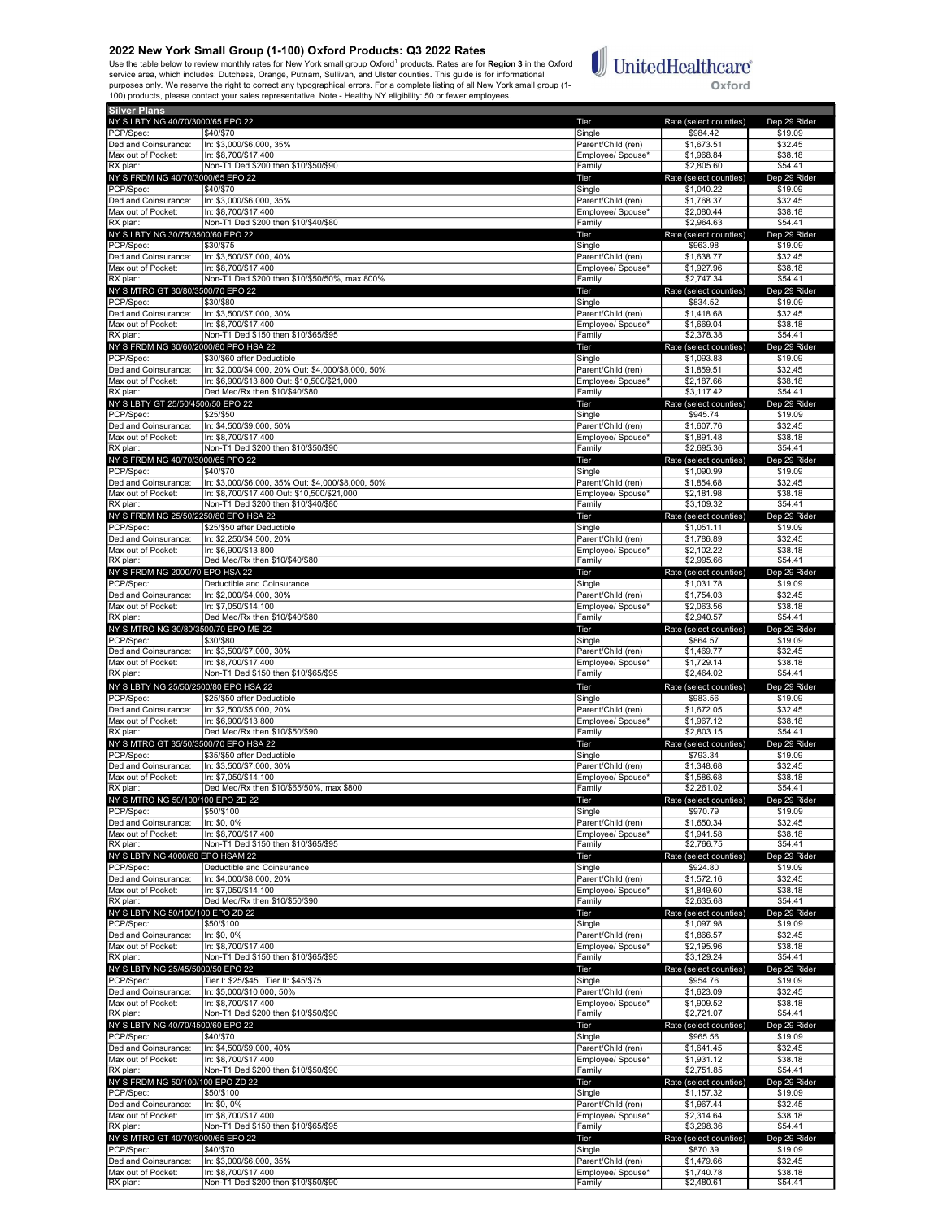Use the table below to review monthly rates for New York small group Oxford<sup>1</sup> products. Rates are for **Region 3** in the Oxford<br>service area, which includes: Dutchess, Orange, Putnam, Sullivan, and Ulster counties. This gu



| <b>Silver Plans</b>                            |                                                                               |                                         |                                      |                         |
|------------------------------------------------|-------------------------------------------------------------------------------|-----------------------------------------|--------------------------------------|-------------------------|
| NY S LBTY NG 40/70/3000/65 EPO 22              |                                                                               | Tier                                    | Rate (select counties)               | Dep 29 Rider            |
| PCP/Spec:                                      | \$40/\$70                                                                     | Single                                  | \$984.42                             | \$19.09                 |
| Ded and Coinsurance:                           | In: \$3,000/\$6,000, 35%                                                      | Parent/Child (ren)                      | \$1,673.51                           | \$32.45                 |
| Max out of Pocket:                             | In: \$8,700/\$17,400                                                          | Employee/ Spouse*                       | \$1,968.84                           | \$38.18                 |
| RX plan:                                       | Non-T1 Ded \$200 then \$10/\$50/\$90                                          | Family                                  | \$2,805.60                           | \$54.41                 |
| NY S FRDM NG 40/70/3000/65 EPO 22<br>PCP/Spec: | \$40/\$70                                                                     | Tier<br>Single                          | Rate (select counties)<br>\$1,040.22 | Dep 29 Rider            |
| Ded and Coinsurance:                           | In: \$3,000/\$6,000, 35%                                                      | Parent/Child (ren)                      | \$1,768.37                           | \$19.09<br>\$32.45      |
| Max out of Pocket:                             | In: \$8.700/\$17.400                                                          | Employee/ Spouse*                       | \$2.080.44                           | \$38.18                 |
| RX plan:                                       | Non-T1 Ded \$200 then \$10/\$40/\$80                                          | Family                                  | \$2,964.63                           | \$54.41                 |
| NY S LBTY NG 30/75/3500/60 EPO 22              |                                                                               | Tier                                    | Rate (select counties)               | Dep 29 Rider            |
| PCP/Spec:                                      | \$30/\$75                                                                     | Single                                  | \$963.98                             | \$19.09                 |
| Ded and Coinsurance:                           | In: \$3,500/\$7,000, 40%                                                      | Parent/Child (ren)                      | \$1,638.77                           | \$32.45                 |
| Max out of Pocket:                             | In: \$8,700/\$17,400<br>Non-T1 Ded \$200 then \$10/\$50/50%, max 800%         | Employee/ Spouse*                       | \$1,927.96<br>\$2,747.34             | \$38.18<br>\$54.41      |
| RX plan:<br>NY S MTRO GT 30/80/3500/70 EPO 22  |                                                                               | Family<br>Tier                          | Rate (select counties)               | Dep 29 Rider            |
| PCP/Spec:                                      | \$30/\$80                                                                     | Single                                  | \$834.52                             | \$19.09                 |
| Ded and Coinsurance:                           | In: \$3,500/\$7,000, 30%                                                      | Parent/Child (ren)                      | \$1,418.68                           | \$32.45                 |
| Max out of Pocket:                             | In: \$8,700/\$17,400                                                          | Employee/ Spouse*                       | \$1,669.04                           | \$38.18                 |
| RX plan:                                       | Non-T1 Ded \$150 then \$10/\$65/\$95                                          | Family                                  | \$2,378.38                           | \$54.41                 |
| NY S FRDM NG 30/60/2000/80 PPO HSA 22          |                                                                               | Tier                                    | Rate (select counties)               | Dep 29 Rider            |
| PCP/Spec:                                      | \$30/\$60 after Deductible                                                    | Single                                  | \$1,093.83                           | \$19.09                 |
| Ded and Coinsurance:                           | In: \$2,000/\$4,000, 20% Out: \$4,000/\$8,000, 50%                            | Parent/Child (ren)                      | \$1,859.51                           | \$32.45                 |
| Max out of Pocket:<br>RX plan:                 | In: \$6,900/\$13,800 Out: \$10,500/\$21,000<br>Ded Med/Rx then \$10/\$40/\$80 | Employee/ Spouse*<br>Family             | \$2,187.66<br>\$3,117.42             | \$38.18<br>\$54.41      |
| NY S LBTY GT 25/50/4500/50 EPO 22              |                                                                               | Tier                                    | Rate (select counties)               | Dep 29 Rider            |
| PCP/Spec:                                      | \$25/\$50                                                                     | Single                                  | \$945.74                             | \$19.09                 |
| Ded and Coinsurance:                           | In: \$4,500/\$9,000, 50%                                                      | Parent/Child (ren)                      | \$1,607.76                           | \$32.45                 |
| Max out of Pocket:                             | In: \$8,700/\$17,400                                                          | Employee/ Spouse*                       | \$1,891.48                           | \$38.18                 |
| RX plan:                                       | Non-T1 Ded \$200 then \$10/\$50/\$90                                          | Family                                  | \$2,695.36                           | \$54.41                 |
| NY S FRDM NG 40/70/3000/65 PPO 22              |                                                                               | Tier                                    | Rate (select counties)               | Dep 29 Rider            |
| PCP/Spec:<br>Ded and Coinsurance:              | \$40/\$70<br>In: \$3,000/\$6,000, 35% Out: \$4,000/\$8,000, 50%               | Single<br>Parent/Child (ren)            | \$1,090.99<br>\$1,854.68             | \$19.09<br>\$32.45      |
| Max out of Pocket:                             | In: \$8,700/\$17,400 Out: \$10,500/\$21,000                                   | Employee/ Spouse*                       | \$2,181.98                           | \$38.18                 |
| RX plan:                                       | Non-T1 Ded \$200 then \$10/\$40/\$80                                          | Family                                  | \$3,109.32                           | \$54.41                 |
| NY S FRDM NG 25/50/2250/80 EPO HSA 22          |                                                                               | Tier                                    | Rate (select counties)               | Dep 29 Rider            |
| PCP/Spec:                                      | \$25/\$50 after Deductible                                                    | Single                                  | \$1.051.11                           | \$19.09                 |
| Ded and Coinsurance:                           | In: \$2,250/\$4,500, 20%                                                      | Parent/Child (ren)                      | \$1,786.89                           | \$32.45                 |
| Max out of Pocket:                             | In: \$6,900/\$13,800                                                          | Employee/ Spouse*                       | \$2,102.22                           | \$38.18                 |
| RX plan:<br>NY S FRDM NG 2000/70 EPO HSA 22    | Ded Med/Rx then \$10/\$40/\$80                                                | Family                                  | \$2,995.66                           | \$54.41<br>Dep 29 Rider |
| PCP/Spec:                                      | Deductible and Coinsurance                                                    | Tier<br>Single                          | Rate (select counties)<br>\$1,031.78 | \$19.09                 |
| Ded and Coinsurance:                           | In: \$2,000/\$4,000, 30%                                                      | Parent/Child (ren)                      | \$1,754.03                           | \$32.45                 |
| Max out of Pocket:                             | In: \$7,050/\$14,100                                                          | Employee/ Spouse*                       | \$2,063.56                           | \$38.18                 |
| RX plan:                                       | Ded Med/Rx then \$10/\$40/\$80                                                | Family                                  | \$2,940.57                           | \$54.41                 |
| NY S MTRO NG 30/80/3500/70 EPO ME 22           |                                                                               | Tier                                    | Rate (select counties)               | Dep 29 Rider            |
| PCP/Spec:                                      | \$30/\$80                                                                     | Single                                  | \$864.57                             | \$19.09                 |
| Ded and Coinsurance:                           | In: \$3,500/\$7,000, 30%                                                      | Parent/Child (ren)                      | \$1,469.77                           | \$32.45                 |
| Max out of Pocket:<br>RX plan:                 | In: \$8,700/\$17,400<br>Non-T1 Ded \$150 then \$10/\$65/\$95                  | Employee/ Spouse*<br>Family             | \$1,729.14<br>\$2,464.02             | \$38.18<br>\$54.41      |
| NY S LBTY NG 25/50/2500/80 EPO HSA 22          |                                                                               | Tier                                    | Rate (select counties)               | Dep 29 Rider            |
| PCP/Spec:                                      | \$25/\$50 after Deductible                                                    | Single                                  | \$983.56                             | \$19.09                 |
| Ded and Coinsurance:                           | In: \$2,500/\$5,000, 20%                                                      | Parent/Child (ren)                      | \$1,672.05                           | \$32.45                 |
| Max out of Pocket:                             | In: \$6,900/\$13,800                                                          | Employee/ Spouse*                       | \$1,967.12                           | \$38.18                 |
| RX plan:                                       | Ded Med/Rx then \$10/\$50/\$90                                                | Family                                  | \$2,803.15                           | \$54.41                 |
| NY S MTRO GT 35/50/3500/70 EPO HSA 22          |                                                                               | Tier                                    | Rate (select counties)               | Dep 29 Rider            |
| PCP/Spec:                                      | \$35/\$50 after Deductible                                                    | Single                                  | \$793.34                             | \$19.09                 |
| Ded and Coinsurance:<br>Max out of Pocket:     | In: \$3,500/\$7,000, 30%<br>In: \$7,050/\$14,100                              | Parent/Child (ren)<br>Employee/ Spouse* | \$1,348.68<br>\$1,586.68             | \$32.45<br>\$38.18      |
| RX plan:                                       | Ded Med/Rx then \$10/\$65/50%, max \$800                                      | Family                                  | \$2,261.02                           | \$54.41                 |
| NY S MTRO NG 50/100/100 EPO ZD 22              |                                                                               | Tier                                    | Rate (select counties)               | Dep 29 Rider            |
| PCP/Spec:                                      | \$50/\$100                                                                    | Single                                  | \$970.79                             | \$19.09                 |
| Ded and Coinsurance:                           | In: \$0, 0%                                                                   | Parent/Child (ren)                      | \$1,650.34                           | \$32.45                 |
| Max out of Pocket:                             | In: \$8,700/\$17,400                                                          | Employee/ Spouse*                       | \$1,941.58                           | \$38.18                 |
| RX plan:<br>NY S LBTY NG 4000/80 EPO HSAM 22   | Non-T1 Ded \$150 then \$10/\$65/\$95                                          | Family<br>Tier                          | \$2,766.75<br>Rate (select counties) | \$54.41<br>Dep 29 Rider |
| PCP/Spec:                                      | Deductible and Coinsurance                                                    | Single                                  | \$924.80                             | \$19.09                 |
| Ded and Coinsurance:                           | In: \$4,000/\$8,000, 20%                                                      | Parent/Child (ren)                      | \$1,572.16                           | \$32.45                 |
| Max out of Pocket:                             | In: \$7,050/\$14,100                                                          | Emplovee/ Spouse*                       | \$1,849.60                           | \$38.18                 |
| RX plan:                                       | Ded Med/Rx then \$10/\$50/\$90                                                | Family                                  | \$2,635.68                           | \$54.41                 |
| NY S LBTY NG 50/100/100 EPO ZD 22              |                                                                               | Tier                                    | Rate (select counties)               | Dep 29 Rider            |
| PCP/Spec:                                      | \$50/\$100                                                                    | Single<br>Parent/Child (ren)            | \$1,097.98                           | \$19.09                 |
| Ded and Coinsurance:<br>Max out of Pocket:     | In: \$0, 0%<br>In: \$8,700/\$17,400                                           | Employee/ Spouse*                       | \$1,866.57<br>\$2,195.96             | \$32.45<br>\$38.18      |
| RX plan:                                       | Non-T1 Ded \$150 then \$10/\$65/\$95                                          | Family                                  | \$3,129.24                           | \$54.41                 |
| NY S LBTY NG 25/45/5000/50 EPO 22              |                                                                               | Tier                                    | Rate (select counties)               | Dep 29 Rider            |
| PCP/Spec:                                      | Tier I: \$25/\$45 Tier II: \$45/\$75                                          | Single                                  | \$954.76                             | \$19.09                 |
| Ded and Coinsurance:                           | In: \$5,000/\$10,000, 50%                                                     | Parent/Child (ren)                      | \$1,623.09                           | \$32.45                 |
| Max out of Pocket:                             | In: \$8,700/\$17,400                                                          | Employee/ Spouse*                       | \$1,909.52                           | \$38.18                 |
| RX plan:                                       | Non-T1 Ded \$200 then \$10/\$50/\$90                                          | Family                                  | \$2,721.07                           | \$54.41                 |
| NY S LBTY NG 40/70/4500/60 EPO 22<br>PCP/Spec: | \$40/\$70                                                                     | Tier<br>Single                          | Rate (select counties)<br>\$965.56   | Dep 29 Rider<br>\$19.09 |
| Ded and Coinsurance:                           | In: \$4,500/\$9,000, 40%                                                      | Parent/Child (ren)                      | \$1,641.45                           | \$32.45                 |
| Max out of Pocket:                             | In: \$8,700/\$17,400                                                          | Employee/ Spouse*                       | \$1,931.12                           | \$38.18                 |
| RX plan:                                       | Non-T1 Ded \$200 then \$10/\$50/\$90                                          | Family                                  | \$2,751.85                           | \$54.41                 |
| NY S FRDM NG 50/100/100 EPO ZD 22              |                                                                               | Tier                                    | Rate (select counties)               | Dep 29 Rider            |
| PCP/Spec:                                      | \$50/\$100                                                                    | Single                                  | \$1,157.32                           | \$19.09                 |
| Ded and Coinsurance:                           | In: \$0, 0%                                                                   | Parent/Child (ren)                      | \$1,967.44                           | \$32.45                 |
| Max out of Pocket:<br>RX plan:                 | In: \$8,700/\$17,400<br>Non-T1 Ded \$150 then \$10/\$65/\$95                  | Employee/ Spouse*<br>Family             | \$2,314.64<br>\$3,298.36             | \$38.18<br>\$54.41      |
| NY S MTRO GT 40/70/3000/65 EPO 22              |                                                                               | Tier                                    | Rate (select counties)               | Dep 29 Rider            |
| PCP/Spec:                                      | \$40/\$70                                                                     | Single                                  | \$870.39                             | \$19.09                 |
| Ded and Coinsurance:                           | In: \$3,000/\$6,000, 35%                                                      | Parent/Child (ren)                      | \$1,479.66                           | \$32.45                 |
| Max out of Pocket:                             | In: \$8,700/\$17,400                                                          | Employee/ Spouse*                       | \$1,740.78                           | \$38.18                 |
| RX plan:                                       | Non-T1 Ded \$200 then \$10/\$50/\$90                                          | Family                                  | \$2,480.61                           | \$54.41                 |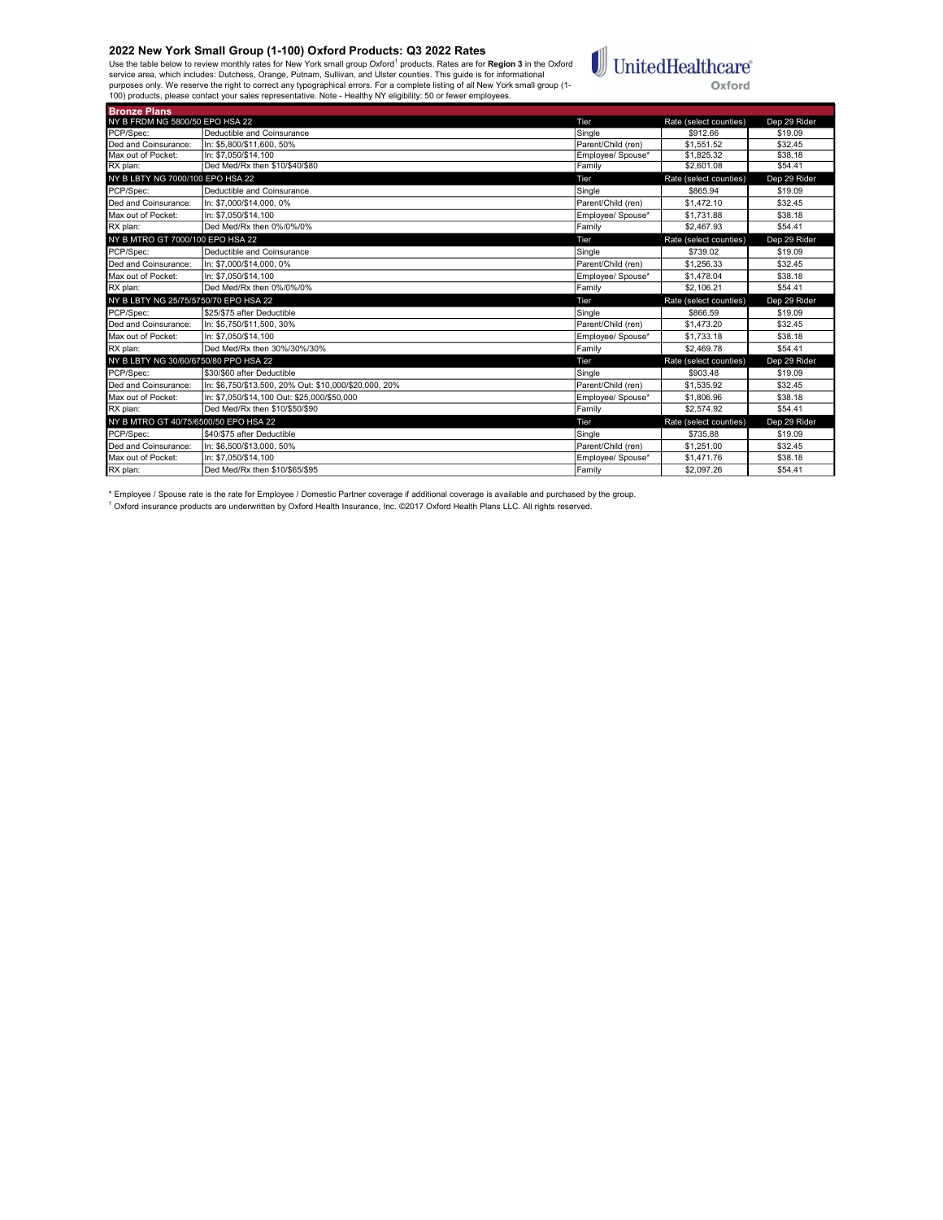Bronze Plans

Use the table below to review monthly rates for New York small group Oxford<sup>1</sup> products. Rates are for **Region 3** in the Oxford<br>service area, which includes: Dutchess, Orange, Putnam, Sullivan, and Ulster counties. This gu



| NY B FRDM NG 5800/50 EPO HSA 22       |                                                       | Tier               | Rate (select counties) | Dep 29 Rider |
|---------------------------------------|-------------------------------------------------------|--------------------|------------------------|--------------|
| PCP/Spec:                             | Deductible and Coinsurance                            | Single             | \$912.66               | \$19.09      |
| Ded and Coinsurance:                  | In: \$5,800/\$11,600, 50%                             | Parent/Child (ren) | \$1,551.52             | \$32.45      |
| Max out of Pocket:                    | In: \$7.050/\$14.100                                  | Employee/ Spouse*  | \$1.825.32             | \$38.18      |
| RX plan:                              | Ded Med/Rx then \$10/\$40/\$80                        | Family             | \$2,601.08             | \$54.41      |
| NY B LBTY NG 7000/100 EPO HSA 22      |                                                       | Tier               | Rate (select counties) | Dep 29 Rider |
| PCP/Spec:                             | Deductible and Coinsurance                            | Single             | \$865.94               | \$19.09      |
| Ded and Coinsurance:                  | In: \$7,000/\$14,000, 0%                              | Parent/Child (ren) | \$1,472.10             | \$32.45      |
| Max out of Pocket:                    | In: \$7.050/\$14.100                                  | Employee/ Spouse*  | \$1,731.88             | \$38.18      |
| RX plan:                              | Ded Med/Rx then 0%/0%/0%                              | Family             | \$2,467.93             | \$54.41      |
| NY B MTRO GT 7000/100 EPO HSA 22      |                                                       | Tier               | Rate (select counties) | Dep 29 Rider |
| PCP/Spec:                             | Deductible and Coinsurance                            | Single             | \$739.02               | \$19.09      |
| Ded and Coinsurance:                  | In: \$7,000/\$14,000, 0%                              | Parent/Child (ren) | \$1,256.33             | \$32.45      |
| Max out of Pocket:                    | In: \$7.050/\$14.100                                  | Emplovee/ Spouse*  | \$1,478.04             | \$38.18      |
| RX plan:                              | Ded Med/Rx then 0%/0%/0%                              | Family             | \$2,106.21             | \$54.41      |
|                                       |                                                       |                    |                        |              |
| NY B LBTY NG 25/75/5750/70 EPO HSA 22 |                                                       | Tier               | Rate (select counties) | Dep 29 Rider |
| PCP/Spec:                             | \$25/\$75 after Deductible                            | Single             | \$866.59               | \$19.09      |
| Ded and Coinsurance:                  | In: \$5,750/\$11,500, 30%                             | Parent/Child (ren) | \$1,473.20             | \$32.45      |
| Max out of Pocket:                    | In: \$7.050/\$14.100                                  | Employee/ Spouse*  | \$1,733.18             | \$38.18      |
| RX plan:                              | Ded Med/Rx then 30%/30%/30%                           | Family             | \$2.469.78             | \$54.41      |
| NY B LBTY NG 30/60/6750/80 PPO HSA 22 |                                                       | Tier               | Rate (select counties) | Dep 29 Rider |
| PCP/Spec:                             | \$30/\$60 after Deductible                            | Single             | \$903.48               | \$19.09      |
| Ded and Coinsurance:                  | In: \$6.750/\$13.500. 20% Out: \$10.000/\$20.000. 20% | Parent/Child (ren) | \$1.535.92             | \$32.45      |
| Max out of Pocket:                    | In: \$7,050/\$14,100 Out: \$25,000/\$50,000           | Employee/ Spouse*  | \$1,806.96             | \$38.18      |
| RX plan:                              | Ded Med/Rx then \$10/\$50/\$90                        | Family             | \$2.574.92             | \$54.41      |
| NY B MTRO GT 40/75/6500/50 EPO HSA 22 |                                                       | Tier               | Rate (select counties) | Dep 29 Rider |
| PCP/Spec:                             | \$40/\$75 after Deductible                            | Single             | \$735.88               | \$19.09      |
| Ded and Coinsurance:                  | In: \$6,500/\$13,000, 50%                             | Parent/Child (ren) | \$1,251.00             | \$32.45      |
| Max out of Pocket:                    | In: \$7.050/\$14.100                                  | Employee/ Spouse*  | \$1,471.76             | \$38.18      |

\* Employee / Spouse rate is the rate for Employee / Domestic Partner coverage if additional coverage is available and purchased by the group.<br><sup>1</sup> Oxford insurance products are underwritten by Oxford Health Insurance, Inc.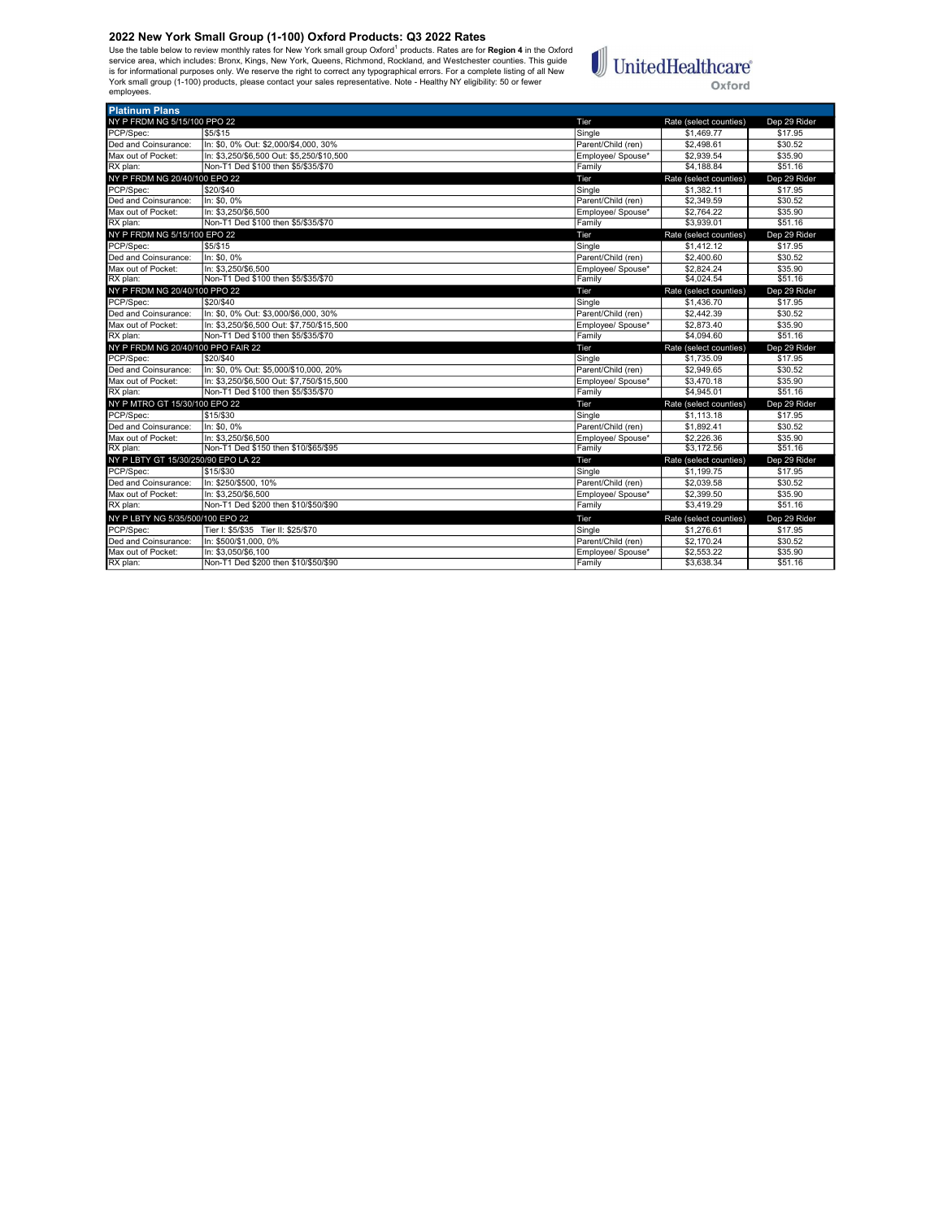Use the table below to review monthly rates for New York small group Oxford<sup>1</sup> products. Rates are for **Region 4** in the Oxford<br>is rorice area, which includes: Bronx, Kings, New York, Queens, Richmond, Rockland, and Westch employees.



| <b>Platinum Plans</b>               |                                           |                    |                        |              |
|-------------------------------------|-------------------------------------------|--------------------|------------------------|--------------|
| NY P FRDM NG 5/15/100 PPO 22        |                                           | Tier               | Rate (select counties) | Dep 29 Rider |
| PCP/Spec:                           | \$5/\$15                                  | Single             | \$1,469.77             | \$17.95      |
| Ded and Coinsurance:                | In: \$0.0% Out: \$2.000/\$4.000. 30%      | Parent/Child (ren) | \$2,498.61             | \$30.52      |
| Max out of Pocket:                  | In: \$3.250/\$6.500 Out: \$5.250/\$10.500 | Employee/ Spouse*  | \$2,939.54             | \$35.90      |
| RX plan:                            | Non-T1 Ded \$100 then \$5/\$35/\$70       | Family             | \$4,188.84             | \$51.16      |
| NY P FRDM NG 20/40/100 EPO 22       |                                           | Tier               | Rate (select counties) | Dep 29 Rider |
| PCP/Spec:                           | \$20/\$40                                 | Single             | \$1.382.11             | \$17.95      |
| Ded and Coinsurance:                | In: \$0, 0%                               | Parent/Child (ren) | \$2,349.59             | \$30.52      |
| Max out of Pocket:                  | In: \$3.250/\$6.500                       | Employee/ Spouse*  | \$2,764.22             | \$35.90      |
| RX plan:                            | Non-T1 Ded \$100 then \$5/\$35/\$70       | Family             | \$3,939.01             | \$51.16      |
| NY P FRDM NG 5/15/100 EPO 22        |                                           | Tier               | Rate (select counties) | Dep 29 Rider |
| PCP/Spec:                           | \$5/\$15                                  | Single             | \$1,412.12             | \$17.95      |
| Ded and Coinsurance:                | In: \$0.0%                                | Parent/Child (ren) | \$2,400.60             | \$30.52      |
| Max out of Pocket:                  | In: \$3.250/\$6.500                       | Employee/ Spouse*  | \$2,824.24             | \$35.90      |
| RX plan:                            | Non-T1 Ded \$100 then \$5/\$35/\$70       | Family             | \$4,024.54             | \$51.16      |
| NY P FRDM NG 20/40/100 PPO 22       |                                           | Tier               | Rate (select counties) | Dep 29 Rider |
| PCP/Spec:                           | \$20/\$40                                 | Single             | \$1,436.70             | \$17.95      |
| Ded and Coinsurance:                | In: \$0, 0% Out: \$3,000/\$6,000, 30%     | Parent/Child (ren) | \$2,442.39             | \$30.52      |
| Max out of Pocket:                  | In: \$3.250/\$6.500 Out: \$7.750/\$15.500 | Employee/ Spouse*  | \$2,873.40             | \$35.90      |
| RX plan:                            | Non-T1 Ded \$100 then \$5/\$35/\$70       | Family             | \$4,094.60             | \$51.16      |
| NY P FRDM NG 20/40/100 PPO FAIR 22  |                                           | Tier               | Rate (select counties) | Dep 29 Rider |
| PCP/Spec:                           | \$20/\$40                                 | Single             | \$1,735.09             | \$17.95      |
| Ded and Coinsurance:                | In: \$0, 0% Out: \$5,000/\$10,000, 20%    | Parent/Child (ren) | \$2,949.65             | \$30.52      |
| Max out of Pocket:                  | In: \$3.250/\$6.500 Out: \$7.750/\$15.500 | Employee/ Spouse*  | \$3,470.18             | \$35.90      |
| RX plan:                            | Non-T1 Ded \$100 then \$5/\$35/\$70       | Family             | \$4,945.01             | \$51.16      |
| NY P MTRO GT 15/30/100 EPO 22       |                                           | Tier               | Rate (select counties) | Dep 29 Rider |
| PCP/Spec:                           | \$15/\$30                                 | Single             | \$1,113,18             | \$17.95      |
| Ded and Coinsurance:                | In: \$0.0%                                | Parent/Child (ren) | \$1,892.41             | \$30.52      |
| Max out of Pocket:                  | In: \$3,250/\$6,500                       | Employee/ Spouse*  | \$2,226.36             | \$35.90      |
| RX plan:                            | Non-T1 Ded \$150 then \$10/\$65/\$95      | Family             | \$3.172.56             | \$51.16      |
| NY P LBTY GT 15/30/250/90 EPO LA 22 |                                           | Tier               | Rate (select counties) | Dep 29 Rider |
| PCP/Spec:                           | \$15/\$30                                 | Single             | \$1,199.75             | \$17.95      |
| Ded and Coinsurance:                | In: \$250/\$500, 10%                      | Parent/Child (ren) | \$2,039.58             | \$30.52      |
| Max out of Pocket:                  | In: \$3.250/\$6.500                       | Employee/ Spouse*  | \$2,399.50             | \$35.90      |
| RX plan:                            | Non-T1 Ded \$200 then \$10/\$50/\$90      | Family             | \$3,419.29             | \$51.16      |
| NY P LBTY NG 5/35/500/100 EPO 22    |                                           | Tier               | Rate (select counties) | Dep 29 Rider |
| PCP/Spec:                           | Tier I: \$5/\$35 Tier II: \$25/\$70       | Single             | \$1,276.61             | \$17.95      |
| Ded and Coinsurance:                | In: \$500/\$1,000, 0%                     | Parent/Child (ren) | \$2,170.24             | \$30.52      |
| Max out of Pocket:                  | In: \$3.050/\$6.100                       | Emplovee/ Spouse*  | \$2.553.22             | \$35.90      |
| RX plan:                            | Non-T1 Ded \$200 then \$10/\$50/\$90      | Family             | \$3,638.34             | \$51.16      |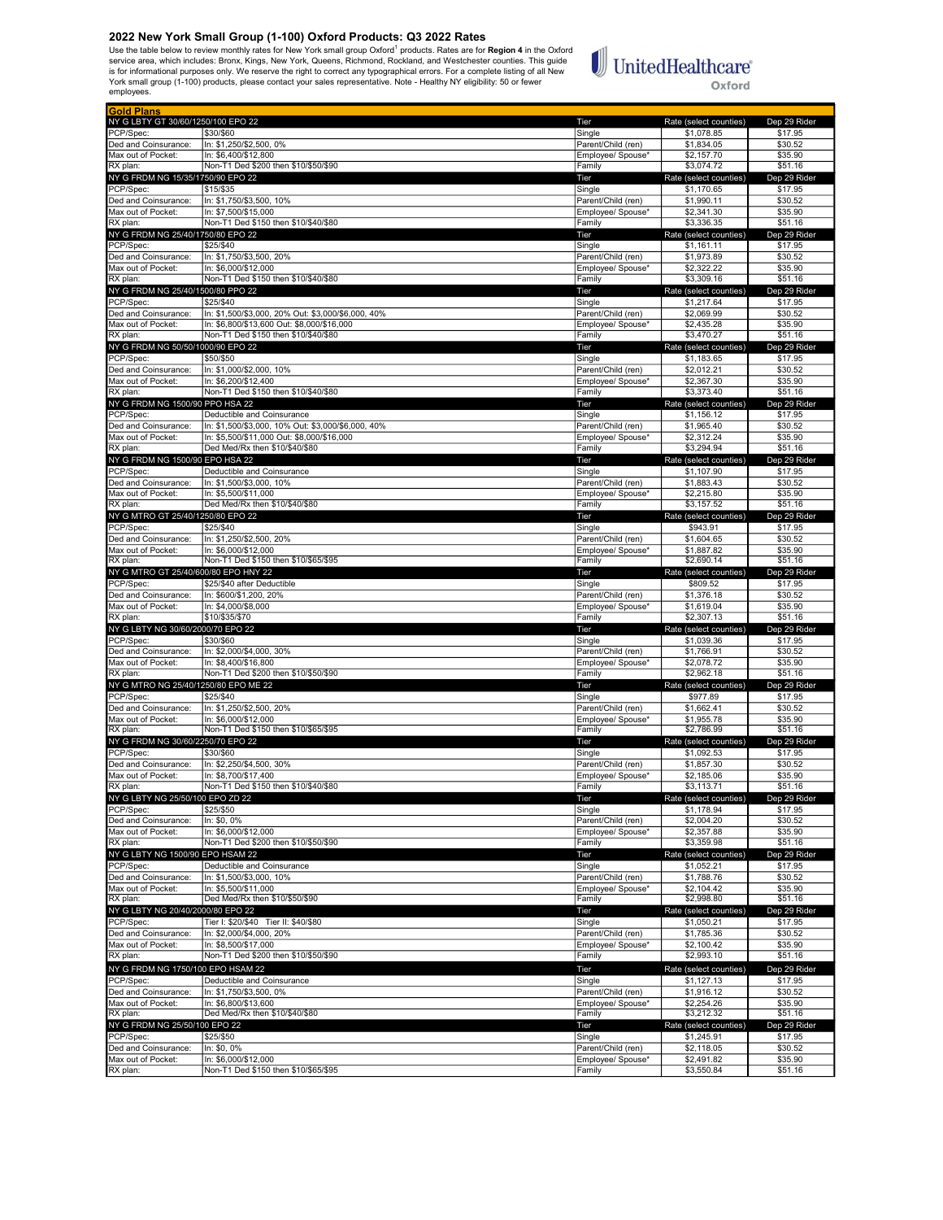Use the table below to review monthly rates for New York small group Oxford<sup>1</sup> products. Rates are for **Region 4** in the Oxford<br>is rorice area, which includes: Bronx, Kings, New York, Queens, Richmond, Rockland, and Westch employees.

# $\begin{tabular}{|c|c|} \hline \multicolumn{3}{|c|}{\textbf{UnitedHealthcare}}\\ \hline \end{tabular}$ Oxford

| <b>IGold Plans</b>                            |                                                                                                  |                                         |                                      |                         |
|-----------------------------------------------|--------------------------------------------------------------------------------------------------|-----------------------------------------|--------------------------------------|-------------------------|
| NY G LBTY GT 30/60/1250/100 EPO 22            |                                                                                                  | Tier                                    | Rate (select counties)               | Dep 29 Rider            |
| PCP/Spec:<br>Ded and Coinsurance:             | \$30/\$60<br>In: \$1,250/\$2,500, 0%                                                             | Single<br>Parent/Child (ren)            | \$1,078.85<br>\$1,834.05             | \$17.95<br>\$30.52      |
| Max out of Pocket:                            | In: \$6,400/\$12,800                                                                             | Employee/ Spouse*                       | \$2.157.70                           | \$35.90                 |
| RX plan:                                      | Non-T1 Ded \$200 then \$10/\$50/\$90                                                             | Family                                  | \$3,074.72                           | \$51.16                 |
| NY G FRDM NG 15/35/1750/90 EPO 22             |                                                                                                  | Tier                                    | Rate (select counties)               | Dep 29 Rider            |
| PCP/Spec:                                     | \$15/\$35                                                                                        | Single                                  | \$1,170.65                           | \$17.95                 |
| Ded and Coinsurance:                          | In: \$1,750/\$3,500, 10%                                                                         | Parent/Child (ren)                      | \$1,990.11                           | \$30.52                 |
| Max out of Pocket:                            | In: \$7,500/\$15,000                                                                             | Employee/ Spouse*                       | \$2,341.30                           | \$35.90                 |
| RX plan:<br>NY G FRDM NG 25/40/1750/80 EPO 22 | Non-T1 Ded \$150 then \$10/\$40/\$80                                                             | Family<br>Tier                          | \$3,336.35<br>Rate (select counties) | \$51.16<br>Dep 29 Rider |
| PCP/Spec:                                     | \$25/\$40                                                                                        | Single                                  | \$1,161.11                           | \$17.95                 |
| Ded and Coinsurance:                          | In: \$1.750/\$3.500. 20%                                                                         | Parent/Child (ren)                      | \$1,973.89                           | \$30.52                 |
| Max out of Pocket:                            | In: \$6,000/\$12,000                                                                             | Emplovee/ Spouse*                       | \$2,322.22                           | \$35.90                 |
| RX plan:                                      | Non-T1 Ded \$150 then \$10/\$40/\$80                                                             | Family                                  | \$3,309.16                           | \$51.16                 |
| NY G FRDM NG 25/40/1500/80 PPO 22             |                                                                                                  | Tier                                    | Rate (select counties)               | Dep 29 Rider            |
| PCP/Spec:                                     | \$25/\$40                                                                                        | Single                                  | \$1,217.64                           | \$17.95                 |
| Ded and Coinsurance:<br>Max out of Pocket:    | In: \$1,500/\$3,000, 20% Out: \$3,000/\$6,000, 40%<br>In: \$6.800/\$13.600 Out: \$8.000/\$16.000 | Parent/Child (ren)<br>Employee/ Spouse* | \$2,069.99<br>\$2.435.28             | \$30.52<br>\$35.90      |
| RX plan:                                      | Non-T1 Ded \$150 then \$10/\$40/\$80                                                             | Family                                  | \$3,470.27                           | \$51.16                 |
| NY G FRDM NG 50/50/1000/90 EPO 22             |                                                                                                  | Tier                                    | Rate (select counties)               | Dep 29 Rider            |
| PCP/Spec:                                     | \$50/\$50                                                                                        | Single                                  | \$1,183.65                           | \$17.95                 |
| Ded and Coinsurance:                          | In: \$1,000/\$2,000, 10%                                                                         | Parent/Child (ren)                      | \$2,012.21                           | \$30.52                 |
| Max out of Pocket:                            | In: \$6,200/\$12,400                                                                             | Employee/ Spouse*                       | \$2,367.30                           | \$35.90                 |
| RX plan:                                      | Non-T1 Ded \$150 then \$10/\$40/\$80                                                             | Family                                  | \$3,373.40                           | \$51.16                 |
| NY G FRDM NG 1500/90 PPO HSA 22               |                                                                                                  | Tier                                    | Rate (select counties)               | Dep 29 Rider            |
| PCP/Spec:<br>Ded and Coinsurance:             | Deductible and Coinsurance<br>In: \$1,500/\$3,000, 10% Out: \$3,000/\$6,000, 40%                 | Single<br>Parent/Child (ren)            | \$1,156.12<br>\$1,965.40             | \$17.95<br>\$30.52      |
| Max out of Pocket:                            | In: \$5,500/\$11,000 Out: \$8,000/\$16,000                                                       | Employee/ Spouse*                       | \$2,312.24                           | \$35.90                 |
| RX plan:                                      | Ded Med/Rx then \$10/\$40/\$80                                                                   | Family                                  | \$3,294.94                           | \$51.16                 |
| NY G FRDM NG 1500/90 EPO HSA 22               |                                                                                                  | Tier                                    | Rate (select counties)               | Dep 29 Rider            |
| PCP/Spec:                                     | Deductible and Coinsurance                                                                       | Single                                  | \$1,107.90                           | \$17.95                 |
| Ded and Coinsurance:                          | In: \$1.500/\$3.000, 10%                                                                         | Parent/Child (ren)                      | \$1,883.43                           | \$30.52                 |
| Max out of Pocket:                            | In: \$5,500/\$11,000                                                                             | Employee/ Spouse*                       | \$2,215.80                           | \$35.90                 |
| RX plan:<br>NY G MTRO GT 25/40/1250/80 EPO 22 | Ded Med/Rx then \$10/\$40/\$80                                                                   | Family<br>Tier                          | \$3,157.52                           | \$51.16<br>Dep 29 Rider |
| PCP/Spec:                                     | \$25/\$40                                                                                        | Single                                  | Rate (select counties)<br>\$943.91   | \$17.95                 |
| Ded and Coinsurance:                          | In: \$1,250/\$2,500, 20%                                                                         | Parent/Child (ren)                      | \$1,604.65                           | \$30.52                 |
| Max out of Pocket:                            | In: \$6,000/\$12,000                                                                             | Employee/ Spouse*                       | \$1,887.82                           | \$35.90                 |
| RX plan:                                      | Non-T1 Ded \$150 then \$10/\$65/\$95                                                             | Family                                  | \$2,690.14                           | \$51.16                 |
| NY G MTRO GT 25/40/600/80 EPO HNY 22          |                                                                                                  | Tier                                    | Rate (select counties)               | Dep 29 Rider            |
| PCP/Spec:                                     | \$25/\$40 after Deductible                                                                       | Single                                  | \$809.52                             | \$17.95                 |
| Ded and Coinsurance:<br>Max out of Pocket:    | In: \$600/\$1,200, 20%                                                                           | Parent/Child (ren)                      | \$1,376.18                           | \$30.52                 |
| RX plan:                                      | In: \$4,000/\$8,000<br>\$10/\$35/\$70                                                            | Employee/ Spouse*<br>Family             | \$1,619.04<br>\$2,307.13             | \$35.90<br>\$51.16      |
| NY G LBTY NG 30/60/2000/70 EPO 22             |                                                                                                  | Tier                                    | Rate (select counties)               | Dep 29 Rider            |
| PCP/Spec:                                     | \$30/\$60                                                                                        | Single                                  | \$1,039.36                           | \$17.95                 |
| Ded and Coinsurance:                          | In: \$2,000/\$4,000, 30%                                                                         | Parent/Child (ren)                      | \$1,766.91                           | \$30.52                 |
| Max out of Pocket:                            | In: \$8,400/\$16,800                                                                             | Employee/ Spouse*                       | \$2,078.72                           | \$35.90                 |
| RX plan:                                      | Non-T1 Ded \$200 then \$10/\$50/\$90                                                             | Family                                  | \$2,962.18                           | \$51.16                 |
| NY G MTRO NG 25/40/1250/80 EPO ME 22          |                                                                                                  | Tier                                    | Rate (select counties)               | Dep 29 Rider            |
| PCP/Spec:<br>Ded and Coinsurance:             | \$25/\$40<br>In: \$1,250/\$2,500, 20%                                                            | Single<br>Parent/Child (ren)            | \$977.89<br>\$1,662.41               | \$17.95<br>\$30.52      |
| Max out of Pocket:                            | In: \$6,000/\$12,000                                                                             | Employee/ Spouse*                       | \$1,955.78                           | \$35.90                 |
| RX plan:                                      | Non-T1 Ded \$150 then \$10/\$65/\$95                                                             | Family                                  | \$2,786.99                           | \$51.16                 |
| NY G FRDM NG 30/60/2250/70 EPO 22             |                                                                                                  | Tier                                    | Rate (select counties)               | Dep 29 Rider            |
| PCP/Spec:                                     | \$30/\$60                                                                                        | Single                                  | \$1,092.53                           | \$17.95                 |
| Ded and Coinsurance:                          | In: \$2,250/\$4,500, 30%                                                                         | Parent/Child (ren)                      | \$1,857.30                           | \$30.52                 |
| Max out of Pocket:                            | In: \$8,700/\$17,400                                                                             | Employee/ Spouse*                       | \$2,185.06                           | \$35.90                 |
| RX plan:                                      | Non-T1 Ded \$150 then \$10/\$40/\$80                                                             | Family                                  | \$3,113.71                           | \$51.16                 |
| NY G LBTY NG 25/50/100 EPO ZD 22<br>PCP/Spec: | \$25/\$50                                                                                        | l let<br>Single                         | Rate (select counties)<br>\$1,178.94 | Dep 29 Rider<br>\$17.95 |
| Ded and Coinsurance:                          | In: \$0, 0%                                                                                      | Parent/Child (ren)                      | \$2,004.20                           | \$30.52                 |
| Max out of Pocket:                            | In: \$6,000/\$12,000                                                                             | Employee/ Spouse*                       | \$2,357.88                           | \$35.90                 |
| RX plan:                                      | Non-T1 Ded \$200 then \$10/\$50/\$90                                                             | Family                                  | \$3,359.98                           | \$51.16                 |
| NY G LBTY NG 1500/90 EPO HSAM 22              |                                                                                                  | Tier                                    | Rate (select counties)               | Dep 29 Rider            |
| PCP/Spec:                                     | Deductible and Coinsurance                                                                       | Single                                  | \$1,052.21                           | \$17.95                 |
| Ded and Coinsurance:                          | In: \$1,500/\$3,000, 10%                                                                         | Parent/Child (ren)<br>Emplovee/ Spouse* | \$1,788.76                           | \$30.52                 |
| Max out of Pocket:<br>RX plan:                | In: \$5,500/\$11,000<br>Ded Med/Rx then \$10/\$50/\$90                                           | Family                                  | \$2,104.42<br>\$2,998.80             | \$35.90<br>\$51.16      |
| NY G LBTY NG 20/40/2000/80 EPO 22             |                                                                                                  | Tier                                    | Rate (select counties)               | Dep 29 Rider            |
| PCP/Spec:                                     | Tier I: \$20/\$40 Tier II: \$40/\$80                                                             | Single                                  | \$1,050.21                           | \$17.95                 |
| Ded and Coinsurance:                          | In: \$2,000/\$4,000, 20%                                                                         | Parent/Child (ren)                      | \$1,785.36                           | \$30.52                 |
| Max out of Pocket:                            | In: \$8.500/\$17.000                                                                             | Employee/ Spouse*                       | \$2,100.42                           | \$35.90                 |
| RX plan:                                      | Non-T1 Ded \$200 then \$10/\$50/\$90                                                             | Family                                  | \$2,993.10                           | \$51.16                 |
| NY G FRDM NG 1750/100 EPO HSAM 22             |                                                                                                  | Tier                                    | Rate (select counties)               | Dep 29 Rider            |
| PCP/Spec:                                     | Deductible and Coinsurance                                                                       | Single                                  | \$1,127.13                           | \$17.95                 |
| Ded and Coinsurance:                          | In: \$1,750/\$3,500, 0%                                                                          | Parent/Child (ren)                      | \$1,916.12                           | \$30.52                 |
| Max out of Pocket:<br>RX plan:                | In: \$6,800/\$13,600<br>Ded Med/Rx then \$10/\$40/\$80                                           | Employee/ Spouse*<br>Family             | \$2,254.26<br>\$3,212.32             | \$35.90<br>\$51.16      |
| NY G FRDM NG 25/50/100 EPO 22                 |                                                                                                  | Tier                                    | Rate (select counties)               | Dep 29 Rider            |
| PCP/Spec:                                     | \$25/\$50                                                                                        | Single                                  | \$1,245.91                           | \$17.95                 |
| Ded and Coinsurance:                          | In: \$0, 0%                                                                                      | Parent/Child (ren)                      | \$2,118.05                           | \$30.52                 |
| Max out of Pocket:                            | In: \$6,000/\$12,000                                                                             | Employee/ Spouse*                       | \$2,491.82                           | \$35.90                 |
| RX plan:                                      | Non-T1 Ded \$150 then \$10/\$65/\$95                                                             | Family                                  | \$3,550.84                           | \$51.16                 |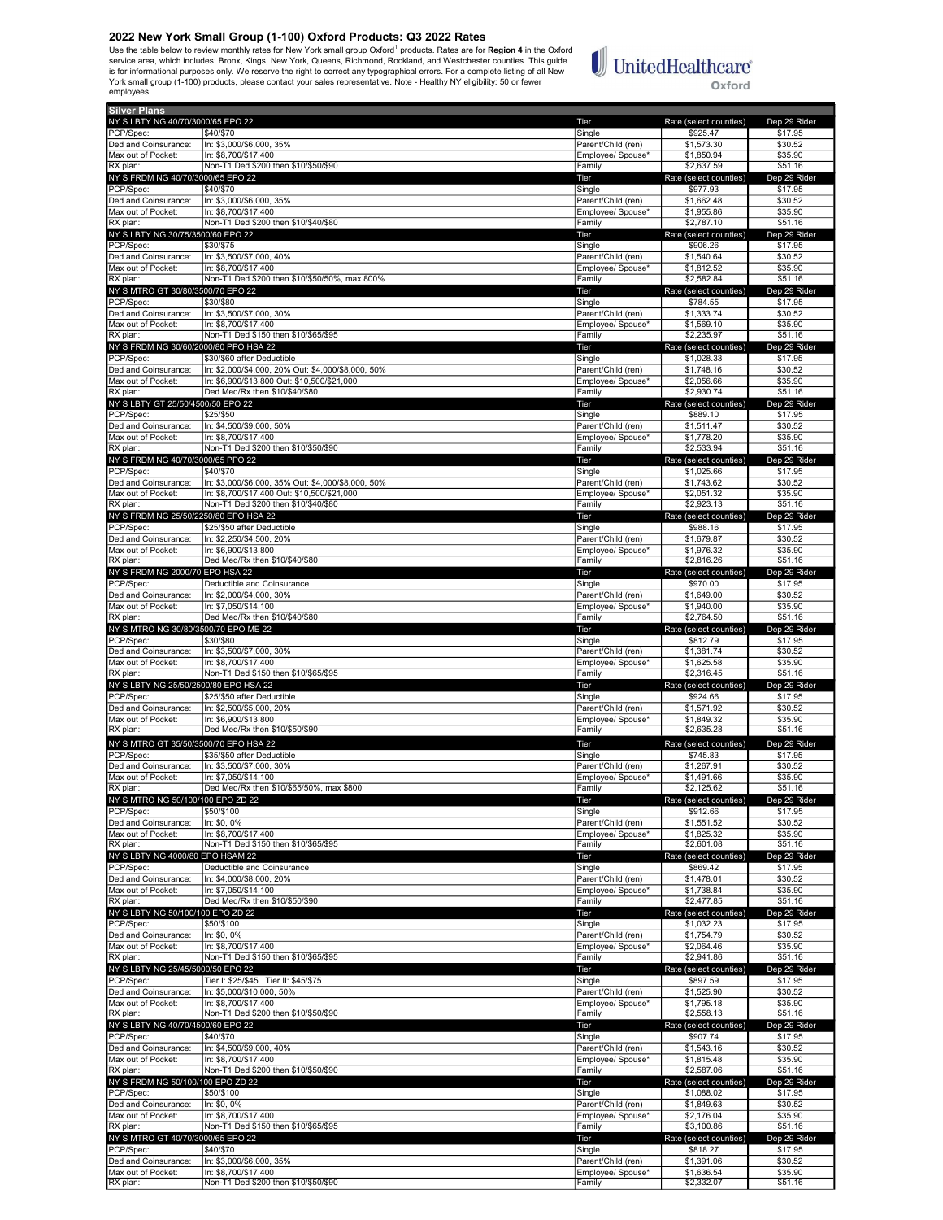Use the table below to review monthly rates for New York small group Oxford<sup>1</sup> products. Rates are for Region 4 in the Oxford service area, which includes: Bronx, Kings, New York, Queens, Richmond, Rockland, and Westchester counties. This guide is for informational purposes only. We reserve the right to correct any typographical errors. For a complete listing of all New<br>York small group (1-100) products, please contact your sales representative. Note - Healthy NY employees.

## **UnitedHealthcare**® Oxford

Silver Plans NY SLBTY NG 40/70/3000/65 EPO 22 **The Rate (select counties)** Dep 29 Ride PCP/Spec: \$40/\$70 Single \$925.47 \$17.95 Ded and Coinsurance: In: \$3,000/\$6,000, 35% Parent/Child (ren) \$1,573.30 \$30.52 Max out of Pocket: In: \$8,700/\$17,400 **Employee/ Spouse\* \$1,850.94** \$35.90 RX plan: Non-T1 Ded \$200 then \$10/\$50/\$90 Family \$2,637.59 \$51.16 NY S FRDM NG 40/70/3000/65 EPO 22 Tier Rate (select counties) Dep 29 Rider PCP/Spec: \$40/\$70 Single \$977.93 \$17.95 Ded and Coinsurance: In: \$3,000/\$6,000, 35% **Parent/Child (ren)** \$1,662.48 \$30.52 Max out of Pocket: In: \$8,700/\$17,400<br>
Max out of Pocket: In: \$8,700/\$17,400<br>
RX plan: S2,787.10 \$51.16 \$1.16 Richary Robert Planet \$10/\$40/\$80<br>500/60 Family \$200 then \$10/\$40/\$80 NY SLBTY NG 30/75/3500/60 EPO 22 **Tier** Rate (select counties) Dep 29 Ri PCP/Spec: \$30/\$75 Single \$906.26 \$17.95 Ded and Coinsurance: In: \$3,500/\$7,000, 40% Parent/Child (ren) \$1,540.64 \$30.52<br>Max out of Pocket: In: \$8,700/\$17,400 Parent/Child (ren) \$1,540.64 \$35.90 Max out of Pocket: In: \$8,700/\$17,400<br>RX plan: Non-T1 Ded \$200 then \$10/\$50/50% max 800% examine the state of the state of the state of the state of<br>RX plan: \$2,582.84 \$51.16 RX plan: Non-T1 Ded \$200 then \$10/\$50/50%, max 800% Family Family \$2,582.84 \$51.16<br>
RX plan: RX plan: S2,582.84 \$51.16<br>
NY S MTRO GT 30/80/3500/70 EPO 22 Rid NY S MTRO GT 30/80/3500/70 EPO 22 Tier Rate (select counties) Dep 29 Rider PCP/Spec: \$30/\$80 Single \$784.55 \$17.95 Ded and Coinsurance: In: \$3,500/\$7,000, 30% Parent/Child (ren) \$1,333.74 \$30.52 Max out of Pocket: In: \$8,700/\$17,400<br>RX plan: Non-T1 Ded \$150 then \$10/\$65/\$95 Family \$2,235.97 \$51.16 NY S FRDM NG 30/60/2000/80 PPO HSA 22 **Tier** Rate (select counties) Dep 29 Rider PCP/Spec: \$30/\$60 after Deductible \$1,028.33 \$17.95<br>Ded and Coinsurance: In: \$2,000/\$4,000, 20% Out: \$4,000/\$8,000, 50% \$17.95 \$1,748.16 \$30.52 Ded and Coinsurance: In: \$2,000/\$4,000, 20% Out: \$4,000/\$8,000, 50% Parent/Child (ren) \$1,748.16 \$30.52<br>Max out of Pocket: In: \$6,900/\$13,800 Out: \$10,500/\$21,000 Max out of Pocket: In: \$6,900/\$13,800 Out: \$10,500/\$21,000 Publishing the Max out of Pocket: In: \$6,900/\$13,800<br>RX plan: Pocket: Ded Med/Rx then \$10/\$40/\$80 <u>RX 23,930.233.330.231.1610,000</u><br>Ded Med/Rx then \$10/\$40/\$80 NY S LBTY GT 25/50/4500/50 EPO 22 Tier Rate (select counties) Dep 29 Rider PCP/Spec: \$25/\$50 Single \$889.10 \$17.95 Ded and Coinsurance: In: \$4,500/\$9,000, 50% Parent/Child (ren) \$1,511.47 \$30.52<br>Aax out of Pocket: In: \$8,700/\$17,400 **Parent/Child (ren)** \$1,778.20 \$35.90 Max out of Pocket: |In: \$8,700/\$17,400 **Employee/ Spouse\* \$1,778.20** \$35.90 ных основал на седас в советном подобрения в советном подобрения в советном советном советном советном советно<br>При в 2,533.94 \$51.16 \$200 then \$10/\$50/\$90 Family \$2,533.94 \$51.16 \$1.16 NY S FRDM NG 40/70/3000/65 PPO 22 Nicolae State (select counties) Dep 29 Richards Dep 29 Richards Dep 29 Richards Dep 29 Richards Dep 29 Richards Dep 29 Richards State (select counties) Dep 29 Richards State (select counti PCP/Spec: \$40/\$70 \$1,025.66 \$17.95 Ded and Coinsurance: In: \$3,000/\$6,000, 35% Out: \$4,000/\$8,000, 50% Parent/Child (ren) \$1,743.62 \$30.52 Max out of Pocket: In: \$8,700/\$17,400 Out: \$10,500/\$21,000 Publishing the Max out of Pocket: In: \$35.90 \$35.90<br>RX plan: S2,923.13 \$51.16 \$200 then \$10/\$40/\$80 Publishing the Max of Pamily \$2,923.13 \$51.16 RX plan: Non-T1 Ded \$200 then \$10/\$40/\$80<br>NY S FRDM NG 25/50/2250/80 EPO HSA 22 **Family \$2,923.13** Tier Rate (select counter) ny North Control of the Control of the Control of the Control of the Control of the Control of the Control of the Control of the Control of the Control of the Control of the Control of the Control of the Control of the Co PCP/Spec: \$25/\$50 after Deductible \$988.16 \$17.95 Ded and Coinsurance: In: \$2,250/\$4,500, 20% Parent/Child (ren) \$1,679.87 \$30.52 Max out of Pocket: In: \$6,900/\$13,800 **Employee/ Spouse\* \$1,976.32** \$35.90 RX plan: Ded Med/Rx then \$10/\$40/\$80 Family \$2,816.26 \$51.16 NY S FRDM NG 2000/70 EPO HSA 22 Tier Rate (select counties) Dep 29 Rider PCP/Spec: **Deductible and Coinsurance** Single **Single Single Single \$970.00** \$17.95 Ded and Coinsurance: In: \$2,000/\$4,000, 30% **Parent/Child (ren)** \$1,649.00 \$30.52 Max out of Pocket: In: \$7,050/\$14,100 **Employee/ Spouse\* \$1,940.00** \$35.90 RX plan: Ded Med/Rx then \$10/\$40/\$80 Family \$2,764.50 \$51.16 NY S MTRO NG 30/80/3500/70 EPO ME 22 No. 2012 | The Terminal State (select counties) Dep 29 Rider Rate (select counties) Dep 29 Rid<br>PCP/Spec: | | \$30/\$80 | \$17.95 | \$12.79 \$17.95 | \$17.95 PCP/Spec: \$30/\$80 \$17.95 \$17.95 \$17.95 \$17.95 \$17.95 \$17.95 \$17.95 \$17.95 \$17.95 \$17.95 \$17.95 \$17.95 \$17.95 \$ Ded and Coinsurance: |In: \$3,500/\$7,000, 30% Parent/Child (ren) \$1,381.74 \$30.52<br>Max out of Pocket: |In: \$8,700/\$17,400 Parent/Child (ren) \$1,625.58 \$35.90 Max out of Pocket: In: \$8,700/\$17,400 **Employee/ Spouse\* \$1,625.58** \$35.90 Max care in the section of the section of the section of the section of the section of the section of the section of the section of the section of the section of the section of the section of the section of the section of NY S LBTY NG 25/50/2500/80 EPO HSA 22 Tier Rate (select counties) Dep 29 Rider PCP/Spec: \$25/\$50 after Deductible \$924.66 \$17.95 Ded and Coinsurance: In: \$2,500/\$5,000, 20% Parent/Child (ren) \$1,571.92 \$30.52<br>Max out of Pocket: In: \$6,900/\$13,800 \$1,800 \$1,800 \$1,849.32 \$35.90 Max out of Pocket: In: \$6,900/\$13,800 Employee/ Spouse\* \$1,849.32 \$35.90 <u>R. Co, Soort Ro, SSC</u><br>Ded Med/Rx then \$10/\$50/\$90 NY S MTRO GT 35/50/3500/70 EPO HSA 22<br>
NY S MTRO GT 35/500/70 EPO HSA 22 Tier Rate (select counties) Dep 29 Rider<br>
PCP/Spec: S745 83 Rate (select counties) STA 58 817 95 PCP/Spec: \$35/\$50 after Deductible \$745.83 \$17.95 Ded and Coinsurance: In: \$3,500/\$7,000, 30% Parent/Child (ren) \$1,267.91 \$30.52 Max out of Pocket: In: \$7,050/\$14,100 **Employee/ Spouse\* \$1,491.66** \$35.90 RX plan: Ded Med/Rx then \$10/\$65/50%, max \$800 Family Family \$2,125.62 \$51.16 NY S MTRO NG 50/100/100 EPO ZD 22 CHE COUNTER THE Rate (select counties) Dep 29 Richard Rate (select counties) Dep 29 Richard Rate (select counties) Dep 29 Richard S17.95 PCP/Spec: \$50/\$100 \$17.95 \$17.95 \$17.95 \$17.95 \$17.95 \$17.95 \$17.95 \$17.95 \$17.95 Ded and Coinsurance: In: \$0, 0% Parent/Child (ren) \$1,551.52 \$30.52 Max out of Pocket: In: \$8,700/\$17,400 **Employee/ Spouse\* \$1,825.32** \$35.90 RX plan: Non-T1 Ded \$150 then \$10/\$65/\$95 Family Family Family \$2,601.08 \$51.16<br>
RX plan: Reserved \$10.08 \$51.16 Family \$2,601.08 \$51.16<br>
NY SLBTY NG 4000/80 EPO HSAM 22 Tier Rate (select counties) Dep 29 Ri NY S LBTY NG 4000/80 EPO HSAM 22 Tier Rate (select counties) Dep 29 Rider PCP/Spec: Deductible and Coinsurance Single \$869.42 \$17.95 0ed and Coinsurance: |In: \$4,000/\$8,000, 20% Parent/Child (ren) \$1,478.01 \$30.52<br>Aax out of Pocket: |In: \$7,050/\$14,100 Parent/Child (ren) \$1,738.84 \$35.90 Max out of Pocket: In: \$7,050/\$14,100<br>RX plan: IDed Med/Rx then \$10/\$50/\$90 November 2008 and the state of the State of State and S35.90<br>RX plan: S2,477.85 \$51.16 ration and the content of the Content of the Content of the Content of the Content of the Content of the Content<br>
Tamily S2,477.85 \$50,477.85 \$50,477.85 \$51.167.165 \$2,477.85 \$51.167.167 \$51.167 \$51.167.167 \$51.167 \$51.167 NY S LBTY NG 50/100/100 EPO ZD 22 Tier Rate (select counties) Dep 29 Rider PCP/Spec: \$50/\$100 \$17.95 \$17.95 \$17.95 \$17.95 \$17.95 \$17.95 \$17.95 \$17.95 \$17.95 Ded and Coinsurance: In: \$0, 0% Parent/Child (ren) \$1,754.79 \$30.52 Max out of Pocket: In: \$8,700/\$17,400 **Employee/ Spouse\* \$2,064.46** \$35.90 RX plan: Non-T1 Ded \$150 then \$10/\$65/\$95 Family \$2,941.86 \$51.16 \$51.16 \$2,941.86 \$51.16 \$2,941.86 \$51.16 \$150<br>NY SLBTY NG 25/45/5000/50 EPO 22 Family \$2,941.86 \$51.16 NY SLBTY NG 25/45/5000/50 EPO 22 CHE COUNTER THE RATE (Select counties) Dep 29 Rider Rate (select counties) Dep 29 Rid PCP/Spec: Tier I: \$25/\$45 Tier II: \$45/\$75 Single Single \$897.59 \$17.95<br>Ped and Coinsurance: In: \$5,000/\$10,000, 50% S30.52 Single \$1,525.90 \$30.52 In: \$5,000/\$10,000, 50% Max out of Pocket: In: \$8,700/\$17,400<br>RX plan: Non-T1 Ded \$200 then \$10/\$50/\$90 **Employee/ Spouse\* \$1,795.18** \$35.90<br>Employee/ Spouse\* \$1,795.18 \$51.16 Ron-T1 Ded \$200 then \$10/\$50/\$90<br>
Ron-T1 Ded \$200 then \$10/\$50/\$90 Family \$2,558.13 \$51.16<br>
Tier Rate (select counties) Dep 29 Ric NY SLETY NG 40/70/4500/60 EPO 22<br>
PCP/Spec: (\$40/\$70 Pep 29 Records) Dep 29 Records and Structures (\$40/\$70 Pep 29 Rider Rate (\$40/\$70 Pep 29 R<br>
PCP/Spec: (\$40/\$70 Pep 29 Rider Rate (\$40/\$70 Pep 29 Rider Rate (\$40/\$70 Pep PCP/Spec: \$40/\$70 Single \$907.74 \$17.95 Ded and Coinsurance: In: \$4,500/\$9,000, 40% Parent/Child (ren) \$1,543.16 \$30.52 Max out of Pocket: In: \$8,700/\$17,400<br>RX plan: Non-T1 Ded \$200 then \$10/\$50/\$90 Family \$2,587.06 \$51.16 NY S FRDM NG 50/100/100 EPO ZD 22 CHE COUNTER THE Rate (select counties) Dep 29 Richards Dep 29 Richards Dep 29 Richards Dep 29 Richards Dep 29 Richards Dep 29 Richards Dep 29 Richards Dep 29 Richards S17.95 PCP/Spec: \$50/\$100 \$17.95 \$100 \$17.95 \$17.95 \$17.95 \$17.95 \$17.95 \$17.95 \$17.95 \$17.95 Ded and Coinsurance: |n: \$0, 0% **Parent/Child (ren)** \$1,849.63 \$30.52 Max out of Pocket: In: \$8,700/\$17,400 **Employee/ Spouse\* \$2,176.04** \$35.90 RX plan: Non-T1 Ded \$150 then \$10/\$65/\$95 Family \$3,100.86 \$51.16 NY S MTRO GT 40/70/3000/65 EPO 22 Tier Rate (select counties) Dep 29 Rider PCP/Spec: \$40/\$70 Single \$818.27 \$17.95 Ded and Coinsurance: In: \$3,000/\$6,000, 35% Parent/Child (ren) \$1,391.06 \$30.52 Max out of Pocket: In: \$8,700/\$17,400 **Employee/ Spouse\* \$1,636.54** \$35.90

RX plan: Non-T1 Ded \$200 then \$10/\$50/\$90 Family \$2,332.07 \$51.16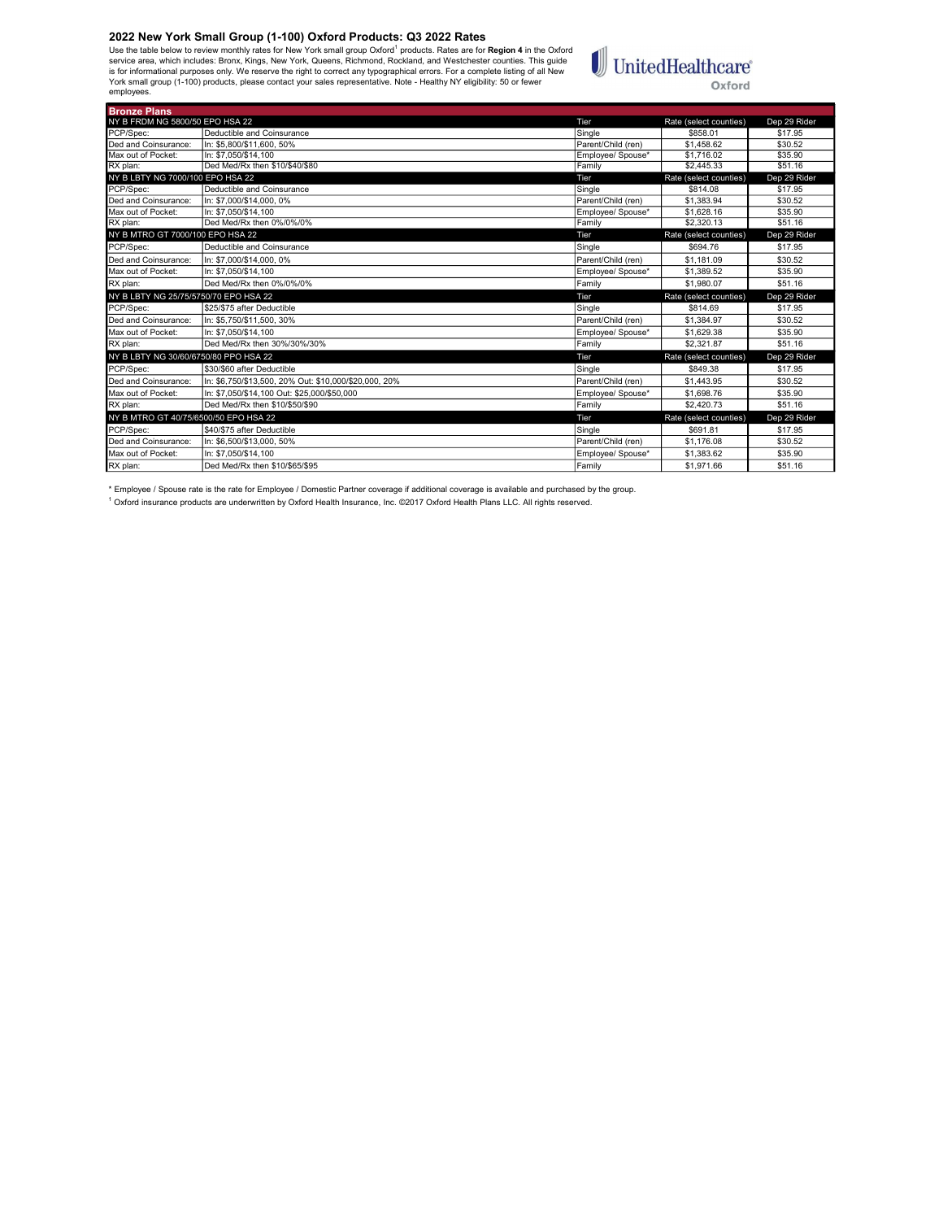Use the table below to review monthly rates for New York small group Oxford<sup>1</sup> products. Rates are for **Region 4** in the Oxford<br>is rorice area, which includes: Bronx, Kings, New York, Queens, Richmond, Rockland, and Westch employees.

# $\textcolor{red}{\textbf{1}}\hspace{-2.5pt}\text{UnitedHealthcare}^*$ Oxford

| <b>Bronze Plans</b>                   |                                                       |                    |                        |              |
|---------------------------------------|-------------------------------------------------------|--------------------|------------------------|--------------|
| NY B FRDM NG 5800/50 EPO HSA 22       |                                                       | Tier               | Rate (select counties) | Dep 29 Rider |
| PCP/Spec:                             | Deductible and Coinsurance                            | Sinale             | \$858.01               | \$17.95      |
| Ded and Coinsurance:                  | In: \$5.800/\$11.600, 50%                             | Parent/Child (ren) | \$1.458.62             | \$30.52      |
| Max out of Pocket:                    | In: \$7.050/\$14.100                                  | Emplovee/ Spouse*  | \$1,716.02             | \$35.90      |
| RX plan:                              | Ded Med/Rx then \$10/\$40/\$80                        | Family             | \$2,445.33             | \$51.16      |
| NY B LBTY NG 7000/100 EPO HSA 22      |                                                       | Tier               | Rate (select counties) | Dep 29 Rider |
| PCP/Spec:                             | Deductible and Coinsurance                            | Single             | \$814.08               | \$17.95      |
| Ded and Coinsurance:                  | In: \$7.000/\$14.000, 0%                              | Parent/Child (ren) | \$1.383.94             | \$30.52      |
| Max out of Pocket:                    | In: \$7.050/\$14.100                                  | Employee/ Spouse*  | \$1,628.16             | \$35.90      |
| RX plan:                              | Ded Med/Rx then 0%/0%/0%                              | Family             | \$2,320.13             | \$51.16      |
| NY B MTRO GT 7000/100 EPO HSA 22      |                                                       | Tier               | Rate (select counties) | Dep 29 Rider |
| PCP/Spec:                             | Deductible and Coinsurance                            | Single             | \$694.76               | \$17.95      |
| Ded and Coinsurance:                  | In: \$7.000/\$14.000, 0%                              | Parent/Child (ren) | \$1.181.09             | \$30.52      |
| Max out of Pocket:                    | In: \$7.050/\$14.100                                  | Employee/ Spouse*  | \$1,389.52             | \$35.90      |
| RX plan:                              | Ded Med/Rx then 0%/0%/0%                              | Family             | \$1.980.07             | \$51.16      |
| NY B LBTY NG 25/75/5750/70 EPO HSA 22 |                                                       | Tier               | Rate (select counties) | Dep 29 Rider |
| PCP/Spec:                             | \$25/\$75 after Deductible                            | Single             | \$814.69               | \$17.95      |
| Ded and Coinsurance:                  | In: \$5.750/\$11.500. 30%                             | Parent/Child (ren) | \$1.384.97             | \$30.52      |
| Max out of Pocket:                    | In: \$7.050/\$14.100                                  | Employee/ Spouse*  | \$1,629.38             | \$35.90      |
| RX plan:                              | Ded Med/Rx then 30%/30%/30%                           | Family             | \$2.321.87             | \$51.16      |
| NY B LBTY NG 30/60/6750/80 PPO HSA 22 |                                                       | <b>Tier</b>        | Rate (select counties) | Dep 29 Rider |
| PCP/Spec:                             | S30/\$60 after Deductible                             | Single             | \$849.38               | \$17.95      |
| Ded and Coinsurance:                  | In: \$6.750/\$13.500. 20% Out: \$10.000/\$20.000. 20% | Parent/Child (ren) | \$1,443.95             | \$30.52      |
| Max out of Pocket:                    | In: \$7.050/\$14.100 Out: \$25.000/\$50.000           | Employee/ Spouse*  | \$1,698.76             | \$35.90      |
| RX plan:                              | Ded Med/Rx then \$10/\$50/\$90                        | Family             | \$2,420.73             | \$51.16      |
| NY B MTRO GT 40/75/6500/50 EPO HSA 22 |                                                       | Tier               | Rate (select counties) | Dep 29 Rider |
| PCP/Spec:                             | S40/\$75 after Deductible                             | Single             | \$691.81               | \$17.95      |
| Ded and Coinsurance:                  | In: \$6.500/\$13.000. 50%                             | Parent/Child (ren) | \$1,176.08             | \$30.52      |
| Max out of Pocket:                    | In: \$7.050/\$14.100                                  | Emplovee/ Spouse*  | \$1.383.62             | \$35.90      |
| RX plan:                              | Ded Med/Rx then \$10/\$65/\$95                        | Family             | \$1.971.66             | \$51.16      |

\* Employee / Spouse rate is the rate for Employee / Domestic Partner coverage if additional coverage is available and purchased by the group.<br><sup>1</sup> Oxford insurance products are underwritten by Oxford Health Insurance, Inc.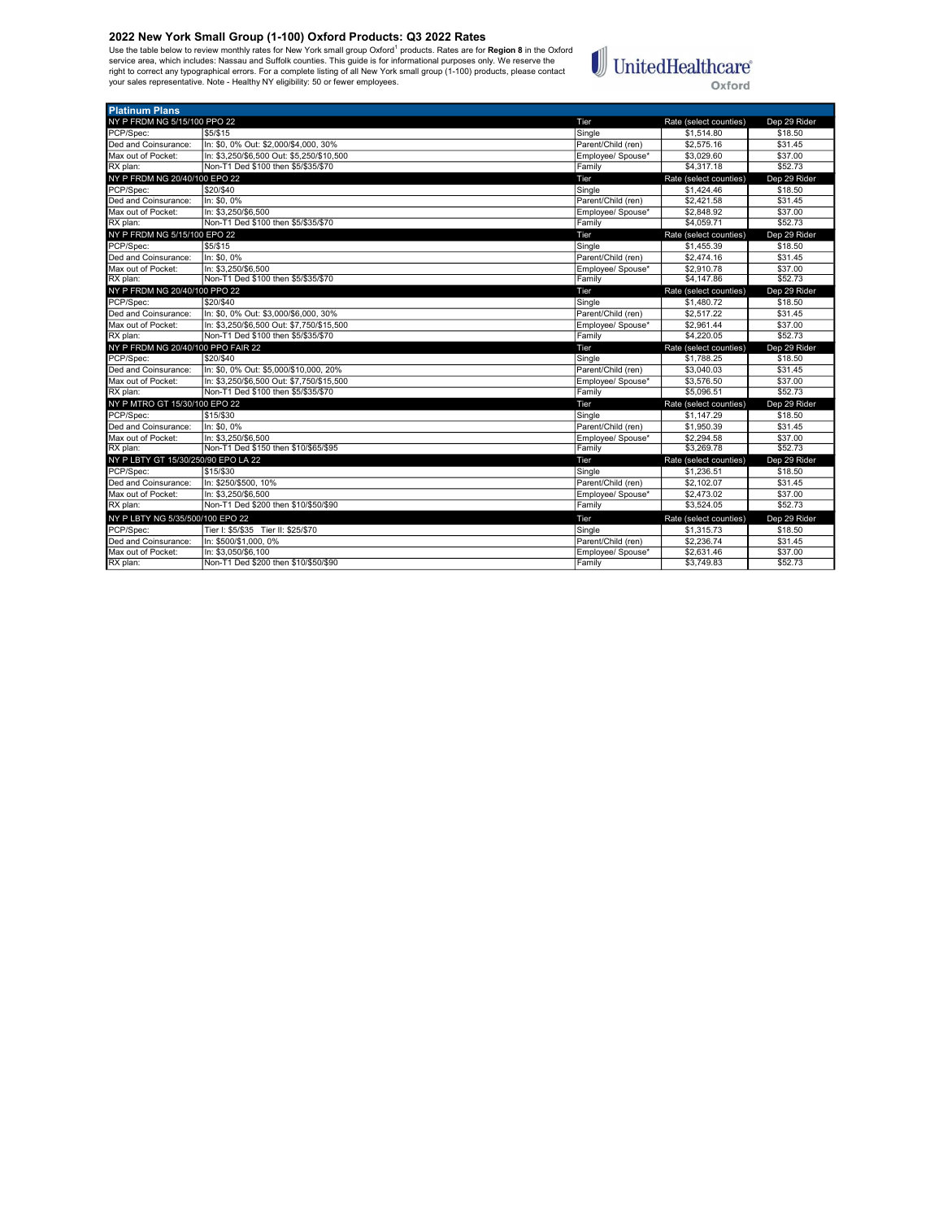Use the table below to review monthly rates for New York small group Oxford<sup>1</sup> products. Rates are for **Region 8** in the Oxford<br>service area, which includes: Nassau and Suffolk counties. This guide is for informational pur



| <b>Platinum Plans</b>               |                                           |                    |                        |              |
|-------------------------------------|-------------------------------------------|--------------------|------------------------|--------------|
| NY P FRDM NG 5/15/100 PPO 22        |                                           | Tier               | Rate (select counties) | Dep 29 Rider |
| PCP/Spec:                           | \$5/\$15                                  | Single             | \$1.514.80             | \$18.50      |
| Ded and Coinsurance:                | In: \$0, 0% Out: \$2,000/\$4,000, 30%     | Parent/Child (ren) | \$2,575.16             | \$31.45      |
| Max out of Pocket:                  | In: \$3,250/\$6,500 Out: \$5,250/\$10,500 | Employee/ Spouse*  | \$3,029.60             | \$37.00      |
| RX plan:                            | Non-T1 Ded \$100 then \$5/\$35/\$70       | Family             | \$4.317.18             | \$52.73      |
| NY P FRDM NG 20/40/100 EPO 22       |                                           | Tier               | Rate (select counties) | Dep 29 Rider |
| PCP/Spec:                           | \$20/\$40                                 | Single             | \$1,424.46             | \$18.50      |
| Ded and Coinsurance:                | In: \$0.0%                                | Parent/Child (ren) | \$2,421.58             | \$31.45      |
| Max out of Pocket:                  | In: \$3.250/\$6.500                       | Employee/ Spouse*  | \$2,848.92             | \$37.00      |
| RX plan:                            | Non-T1 Ded \$100 then \$5/\$35/\$70       | Family             | \$4,059.71             | \$52.73      |
| NY P FRDM NG 5/15/100 EPO 22        |                                           | Tier               | Rate (select counties) | Dep 29 Rider |
| PCP/Spec:                           | \$5/\$15                                  | Single             | \$1.455.39             | \$18.50      |
| Ded and Coinsurance:                | In: \$0, 0%                               | Parent/Child (ren) | \$2,474.16             | \$31.45      |
| Max out of Pocket:                  | In: \$3.250/\$6.500                       | Employee/ Spouse*  | \$2,910.78             | \$37.00      |
| RX plan:                            | Non-T1 Ded \$100 then \$5/\$35/\$70       | Family             | \$4,147.86             | \$52.73      |
| NY P FRDM NG 20/40/100 PPO 22       |                                           | Tier               | Rate (select counties) | Dep 29 Rider |
| PCP/Spec:                           | \$20/\$40                                 | Single             | \$1,480.72             | \$18.50      |
| Ded and Coinsurance:                | In: \$0, 0% Out: \$3,000/\$6,000, 30%     | Parent/Child (ren) | \$2,517.22             | \$31.45      |
| Max out of Pocket:                  | In: \$3.250/\$6.500 Out: \$7.750/\$15.500 | Employee/ Spouse*  | \$2.961.44             | \$37.00      |
| RX plan:                            | Non-T1 Ded \$100 then \$5/\$35/\$70       | Family             | \$4,220.05             | \$52.73      |
| NY P FRDM NG 20/40/100 PPO FAIR 22  |                                           | Tier               | Rate (select counties) | Dep 29 Rider |
| PCP/Spec:                           | \$20/\$40                                 | Single             | \$1,788.25             | \$18.50      |
| Ded and Coinsurance:                | In: \$0, 0% Out: \$5,000/\$10,000, 20%    | Parent/Child (ren) | \$3,040.03             | \$31.45      |
| Max out of Pocket:                  | In: \$3.250/\$6.500 Out: \$7.750/\$15.500 | Emplovee/ Spouse*  | \$3.576.50             | \$37.00      |
| RX plan:                            | Non-T1 Ded \$100 then \$5/\$35/\$70       | Family             | \$5,096.51             | \$52.73      |
| NY P MTRO GT 15/30/100 EPO 22       |                                           | Tier               | Rate (select counties) | Dep 29 Rider |
| PCP/Spec:                           | \$15/\$30                                 | Single             | \$1.147.29             | \$18.50      |
| Ded and Coinsurance:                | In: \$0.0%                                | Parent/Child (ren) | \$1.950.39             | \$31.45      |
| Max out of Pocket:                  | In: \$3.250/\$6.500                       | Employee/ Spouse*  | \$2,294.58             | \$37.00      |
| RX plan:                            | Non-T1 Ded \$150 then \$10/\$65/\$95      | Family             | \$3,269.78             | \$52.73      |
| NY P LBTY GT 15/30/250/90 EPO LA 22 |                                           | Tier               | Rate (select counties) | Dep 29 Rider |
| PCP/Spec:                           | \$15/\$30                                 | Single             | \$1.236.51             | \$18.50      |
| Ded and Coinsurance:                | In: \$250/\$500, 10%                      | Parent/Child (ren) | \$2,102.07             | \$31.45      |
| Max out of Pocket:                  | In: \$3.250/\$6.500                       | Employee/ Spouse*  | \$2,473.02             | \$37.00      |
| RX plan:                            | Non-T1 Ded \$200 then \$10/\$50/\$90      | Family             | \$3.524.05             | \$52.73      |
| NY P LBTY NG 5/35/500/100 EPO 22    |                                           | Tier               | Rate (select counties) | Dep 29 Rider |
| PCP/Spec:                           | Tier I: \$5/\$35 Tier II: \$25/\$70       | Single             | \$1,315.73             | \$18.50      |
| Ded and Coinsurance:                | In: \$500/\$1,000, 0%                     | Parent/Child (ren) | \$2,236.74             | \$31.45      |
| Max out of Pocket:                  | In: \$3.050/\$6.100                       | Employee/ Spouse*  | \$2,631.46             | \$37.00      |
| RX plan:                            | Non-T1 Ded \$200 then \$10/\$50/\$90      | Family             | \$3,749.83             | \$52.73      |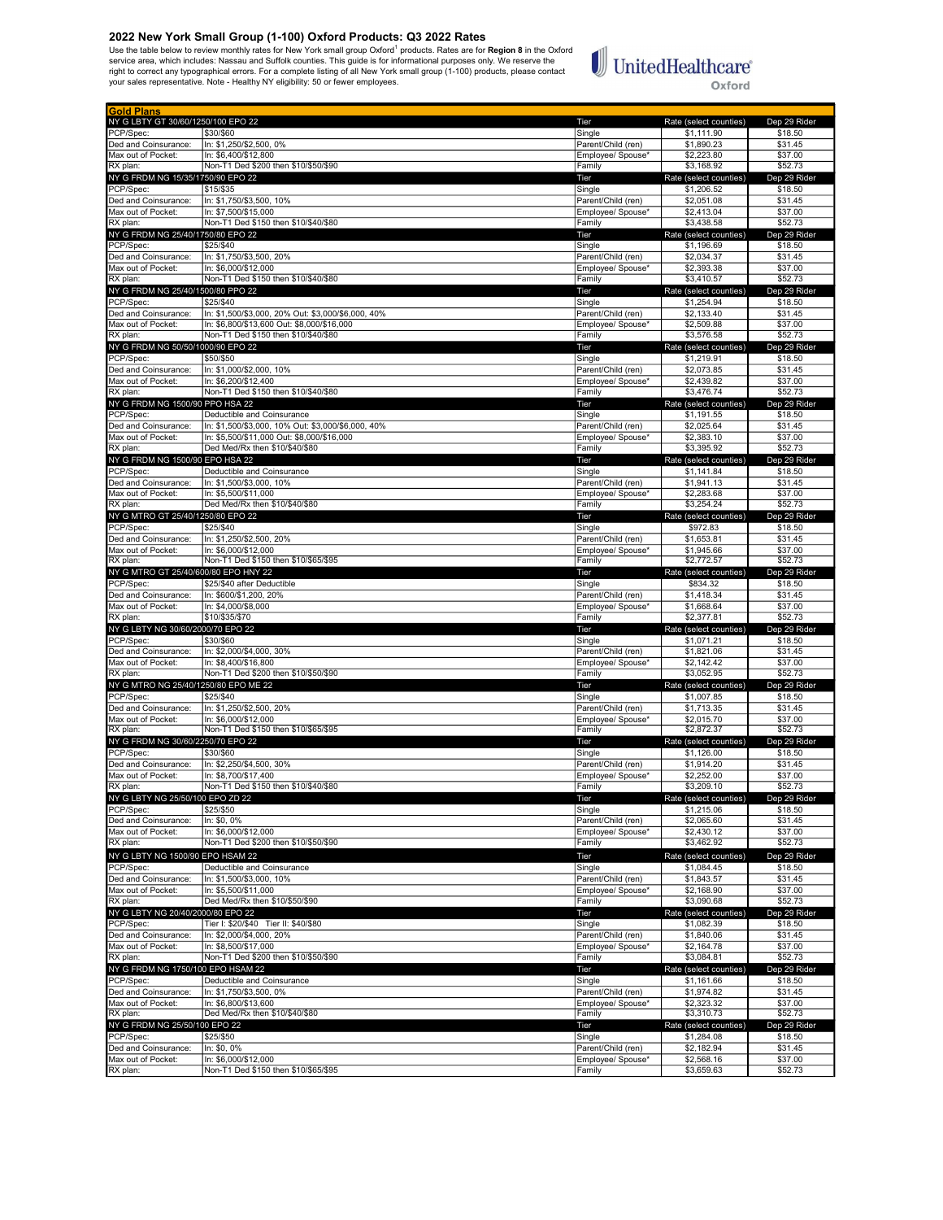Use the table below to review monthly rates for New York small group Oxford<sup>1</sup> products. Rates are for **Region 8** in the Oxford<br>service area, which includes: Nassau and Suffolk counties. This guide is for informational pur

# $\mathbb{I}$ UnitedHealthcare®

Oxford

| <b>Gold Plans</b>                    |                                                    |                    |                        |              |
|--------------------------------------|----------------------------------------------------|--------------------|------------------------|--------------|
| NY G LBTY GT 30/60/1250/100 EPO 22   |                                                    | Tier               | Rate (select counties) | Dep 29 Rider |
| PCP/Spec:                            | \$30/\$60                                          | Single             | \$1,111.90             | \$18.50      |
| Ded and Coinsurance:                 | In: \$1,250/\$2,500, 0%                            | Parent/Child (ren) | \$1,890.23             | \$31.45      |
| Max out of Pocket:                   | In: \$6.400/\$12.800                               | Employee/ Spouse*  | \$2,223.80             | \$37.00      |
| RX plan:                             | Non-T1 Ded \$200 then \$10/\$50/\$90               | Family             | \$3,168.92             | \$52.73      |
| NY G FRDM NG 15/35/1750/90 EPO 22    |                                                    | Tier               | Rate (select counties) | Dep 29 Rider |
| PCP/Spec:                            | \$15/\$35                                          | Single             | \$1,206.52             | \$18.50      |
| Ded and Coinsurance:                 | In: \$1,750/\$3,500, 10%                           | Parent/Child (ren) | \$2,051.08             | \$31.45      |
| Max out of Pocket:                   | In: \$7,500/\$15,000                               | Employee/ Spouse*  | \$2,413.04             | \$37.00      |
| RX plan:                             | Non-T1 Ded \$150 then \$10/\$40/\$80               | Family             | \$3,438.58             | \$52.73      |
| NY G FRDM NG 25/40/1750/80 EPO 22    |                                                    | Tier               | Rate (select counties) | Dep 29 Rider |
| PCP/Spec:                            | \$25/\$40                                          | Single             | \$1,196.69             | \$18.50      |
|                                      |                                                    |                    |                        |              |
| Ded and Coinsurance:                 | In: \$1,750/\$3,500, 20%                           | Parent/Child (ren) | \$2,034.37             | \$31.45      |
| Max out of Pocket:                   | In: \$6,000/\$12,000                               | Employee/ Spouse*  | \$2,393.38             | \$37.00      |
| RX plan:                             | Non-T1 Ded \$150 then \$10/\$40/\$80               | Family             | \$3,410.57             | \$52.73      |
| NY G FRDM NG 25/40/1500/80 PPO 22    |                                                    | Tier               | Rate (select counties) | Dep 29 Rider |
| PCP/Spec:                            | \$25/\$40                                          | Single             | \$1,254.94             | \$18.50      |
| Ded and Coinsurance:                 | In: \$1,500/\$3,000, 20% Out: \$3,000/\$6,000, 40% | Parent/Child (ren) | \$2,133.40             | \$31.45      |
| Max out of Pocket:                   | In: \$6.800/\$13.600 Out: \$8.000/\$16.000         | Employee/ Spouse*  | \$2,509.88             | \$37.00      |
| RX plan:                             | Non-T1 Ded \$150 then \$10/\$40/\$80               | Family             | \$3,576.58             | \$52.73      |
| NY G FRDM NG 50/50/1000/90 EPO 22    |                                                    | Tier               | Rate (select counties) | Dep 29 Rider |
| PCP/Spec:                            | \$50/\$50                                          | Single             | \$1,219.91             | \$18.50      |
| Ded and Coinsurance:                 | In: \$1,000/\$2,000, 10%                           | Parent/Child (ren) | \$2,073.85             | \$31.45      |
| Max out of Pocket:                   | In: \$6,200/\$12,400                               |                    | \$2,439.82             | \$37.00      |
| RX plan:                             | Non-T1 Ded \$150 then \$10/\$40/\$80               | Employee/ Spouse*  | \$3,476.74             | \$52.73      |
|                                      |                                                    | Family             |                        |              |
| NY G FRDM NG 1500/90 PPO HSA 22      |                                                    | Tier               | Rate (select counties) | Dep 29 Rider |
| PCP/Spec:                            | Deductible and Coinsurance                         | Single             | \$1,191.55             | \$18.50      |
| Ded and Coinsurance:                 | In: \$1,500/\$3,000, 10% Out: \$3,000/\$6,000, 40% | Parent/Child (ren) | \$2,025.64             | \$31.45      |
| Max out of Pocket:                   | In: \$5,500/\$11,000 Out: \$8,000/\$16,000         | Employee/ Spouse*  | \$2,383.10             | \$37.00      |
| RX plan:                             | Ded Med/Rx then \$10/\$40/\$80                     | Family             | \$3,395.92             | \$52.73      |
| NY G FRDM NG 1500/90 EPO HSA 22      |                                                    | Tier               | Rate (select counties) | Dep 29 Rider |
| PCP/Spec:                            | Deductible and Coinsurance                         | Single             | \$1,141.84             | \$18.50      |
| Ded and Coinsurance:                 | In: \$1,500/\$3,000, 10%                           | Parent/Child (ren) | \$1,941.13             | \$31.45      |
| Max out of Pocket:                   | In: \$5,500/\$11,000                               | Employee/ Spouse*  | \$2,283.68             | \$37.00      |
| RX plan:                             | Ded Med/Rx then \$10/\$40/\$80                     | Family             | \$3,254.24             | \$52.73      |
|                                      |                                                    |                    | Rate (select counties) |              |
| NY G MTRO GT 25/40/1250/80 EPO 22    |                                                    | Tier               |                        | Dep 29 Rider |
| PCP/Spec:                            | \$25/\$40                                          | Single             | \$972.83               | \$18.50      |
| Ded and Coinsurance:                 | In: \$1,250/\$2,500, 20%                           | Parent/Child (ren) | \$1,653.81             | \$31.45      |
| Max out of Pocket:                   | In: \$6,000/\$12,000                               | Employee/ Spouse*  | \$1,945.66             | \$37.00      |
| RX plan:                             | Non-T1 Ded \$150 then \$10/\$65/\$95               | Family             | \$2,772.57             | \$52.73      |
| NY G MTRO GT 25/40/600/80 EPO HNY 22 |                                                    | Tier               | Rate (select counties) | Dep 29 Rider |
| PCP/Spec:                            | \$25/\$40 after Deductible                         | Single             | \$834.32               | \$18.50      |
| Ded and Coinsurance:                 | In: \$600/\$1,200, 20%                             | Parent/Child (ren) | \$1,418.34             | \$31.45      |
| Max out of Pocket:                   | In: \$4,000/\$8,000                                | Employee/ Spouse*  | \$1,668.64             | \$37.00      |
| RX plan:                             | \$10/\$35/\$70                                     | Family             | \$2,377.81             | \$52.73      |
| NY G LBTY NG 30/60/2000/70 EPO 22    |                                                    | Tier               | Rate (select counties) | Dep 29 Rider |
| PCP/Spec:                            | \$30/\$60                                          | Single             | \$1,071.21             | \$18.50      |
| Ded and Coinsurance:                 | In: \$2,000/\$4,000, 30%                           | Parent/Child (ren) | \$1,821.06             | \$31.45      |
| Max out of Pocket:                   | In: \$8,400/\$16,800                               | Employee/ Spouse*  | \$2,142.42             | \$37.00      |
| RX plan:                             | Non-T1 Ded \$200 then \$10/\$50/\$90               | Family             | \$3,052.95             | \$52.73      |
|                                      |                                                    |                    |                        |              |
| NY G MTRO NG 25/40/1250/80 EPO ME 22 |                                                    | Tier               | Rate (select counties) | Dep 29 Rider |
| PCP/Spec:                            | \$25/\$40                                          | Single             | \$1,007.85             | \$18.50      |
| Ded and Coinsurance:                 | In: \$1,250/\$2,500, 20%                           | Parent/Child (ren) | \$1,713,35             | \$31.45      |
| Max out of Pocket:                   | In: \$6,000/\$12,000                               | Employee/ Spouse*  | \$2,015.70             | \$37.00      |
| RX plan:                             | Non-T1 Ded \$150 then \$10/\$65/\$95               | Family             | \$2,872.37             | \$52.73      |
| NY G FRDM NG 30/60/2250/70 EPO 22    |                                                    | Tier               | Rate (select counties) | Dep 29 Rider |
| PCP/Spec:                            | \$30/\$60                                          | Single             | \$1,126.00             | \$18.50      |
| Ded and Coinsurance:                 | In: \$2,250/\$4,500, 30%                           | Parent/Child (ren) | \$1,914.20             | \$31.45      |
| Max out of Pocket:                   | In: \$8,700/\$17,400                               | Employee/ Spouse*  | \$2,252.00             | \$37.00      |
| RX plan:                             | Non-T1 Ded \$150 then \$10/\$40/\$80               | Family             | \$3,209.10             | \$52.73      |
| NY G LBTY NG 25/50/100 EPO ZD 22     |                                                    | Tier               | Rate (select countie   | Den 29 Rid   |
| PCP/Spec:                            | \$25/\$50                                          | Single             | \$1,215.06             | \$18.50      |
| Ded and Coinsurance:                 | In: \$0, 0%                                        | Parent/Child (ren) | \$2,065.60             | \$31.45      |
| Max out of Pocket:                   | In: \$6,000/\$12,000                               | Employee/ Spouse*  | \$2,430.12             | \$37.00      |
| RX plan:                             | Non-T1 Ded \$200 then \$10/\$50/\$90               | Family             | \$3,462.92             | \$52.73      |
|                                      |                                                    |                    |                        |              |
| NY G LBTY NG 1500/90 EPO HSAM 22     |                                                    | Tier               | Rate (select counties) | Dep 29 Rider |
| PCP/Spec:                            | Deductible and Coinsurance                         | Single             | \$1,084.45             | \$18.50      |
| Ded and Coinsurance:                 | In: \$1,500/\$3,000, 10%                           | Parent/Child (ren) | \$1,843.57             | \$31.45      |
| Max out of Pocket:                   | In: \$5,500/\$11,000                               | Emplovee/ Spouse*  | \$2,168.90             | \$37.00      |
| RX plan:                             | Ded Med/Rx then \$10/\$50/\$90                     | Family             | \$3,090.68             | \$52.73      |
| NY G LBTY NG 20/40/2000/80 EPO 22    |                                                    | Tier               | Rate (select counties) | Dep 29 Rider |
| PCP/Spec:                            | Tier I: \$20/\$40 Tier II: \$40/\$80               | Single             | \$1,082.39             | \$18.50      |
| Ded and Coinsurance:                 | In: \$2,000/\$4,000, 20%                           | Parent/Child (ren) | \$1,840.06             | \$31.45      |
| Max out of Pocket:                   | In: \$8,500/\$17,000                               | Employee/ Spouse*  | \$2,164.78             | \$37.00      |
|                                      | Non-T1 Ded \$200 then \$10/\$50/\$90               |                    | \$3,084.81             | \$52.73      |
| RX plan:                             |                                                    | Family             |                        |              |
| NY G FRDM NG 1750/100 EPO HSAM 22    |                                                    | Tier               | Rate (select counties) | Dep 29 Rider |
| PCP/Spec:                            | Deductible and Coinsurance                         | Single             | \$1,161.66             | \$18.50      |
| Ded and Coinsurance:                 | In: \$1,750/\$3,500, 0%                            | Parent/Child (ren) | \$1,974.82             | \$31.45      |
| Max out of Pocket:                   | In: \$6,800/\$13,600                               | Employee/ Spouse*  | \$2,323.32             | \$37.00      |
| RX plan:                             | Ded Med/Rx then \$10/\$40/\$80                     | Family             | \$3,310.73             | \$52.73      |
| NY G FRDM NG 25/50/100 EPO 22        |                                                    | Tier               | Rate (select counties) | Dep 29 Rider |
| PCP/Spec:                            | \$25/\$50                                          | Single             | \$1,284.08             | \$18.50      |
| Ded and Coinsurance:                 | In: \$0, 0%                                        | Parent/Child (ren) | \$2,182.94             | \$31.45      |
| Max out of Pocket:                   | In: \$6,000/\$12,000                               | Employee/ Spouse*  | \$2,568.16             | \$37.00      |
| RX plan:                             | Non-T1 Ded \$150 then \$10/\$65/\$95               | Family             | \$3,659.63             | \$52.73      |
|                                      |                                                    |                    |                        |              |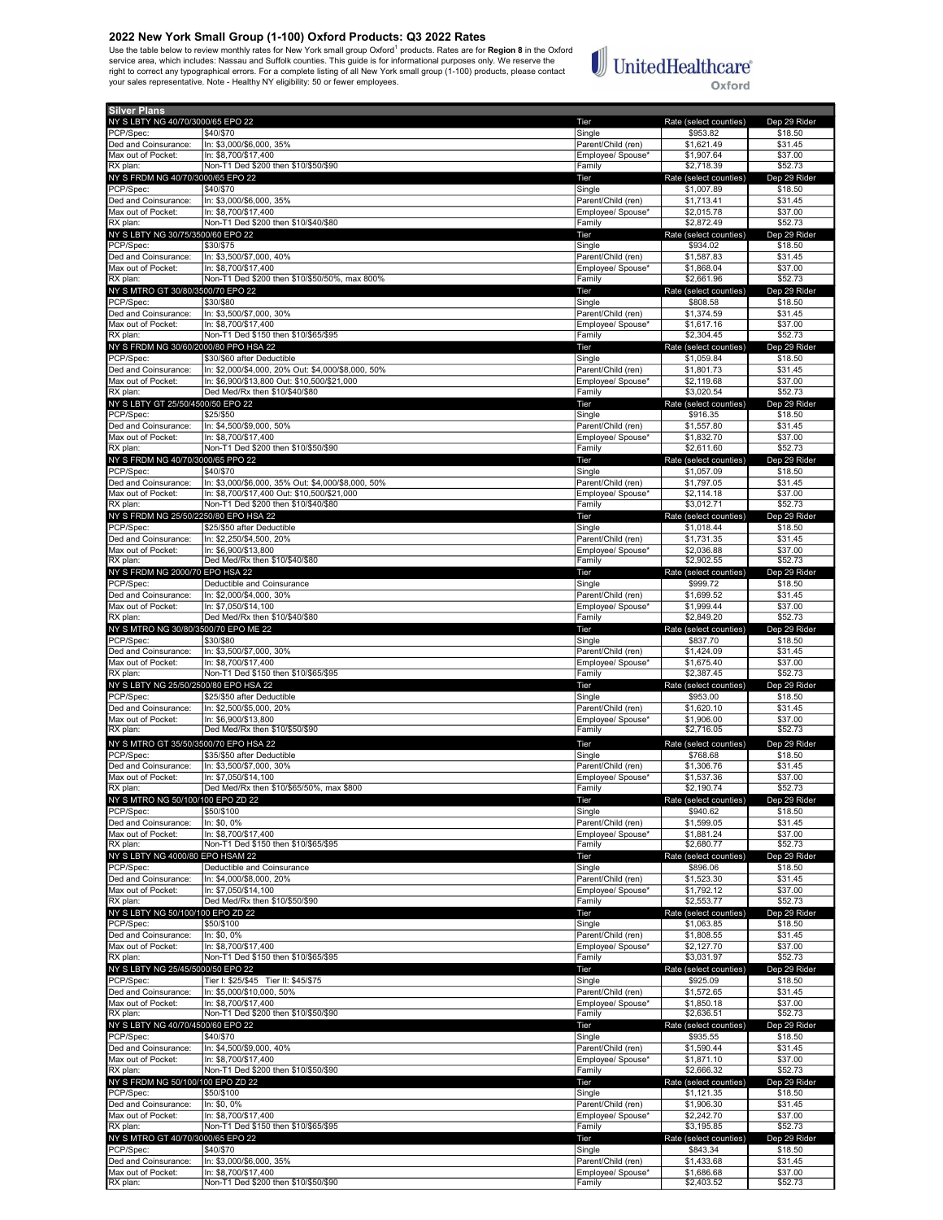Use the table below to review monthly rates for New York small group Oxford<sup>1</sup> products. Rates are for **Region 8** in the Oxford<br>service area, which includes: Nassau and Suffolk counties. This guide is for informational pur



| <b>Silver Plans</b>                                |                                                                       |                                         |                                      |                         |
|----------------------------------------------------|-----------------------------------------------------------------------|-----------------------------------------|--------------------------------------|-------------------------|
| NY S LBTY NG 40/70/3000/65 EPO 22                  |                                                                       | Tier                                    | Rate (select counties)               | Dep 29 Rider            |
| PCP/Spec:<br>Ded and Coinsurance:                  | \$40/\$70<br>In: \$3,000/\$6,000, 35%                                 | Single<br>Parent/Child (ren)            | \$953.82<br>\$1,621.49               | \$18.50<br>\$31.45      |
| Max out of Pocket:                                 | In: \$8,700/\$17,400                                                  | Employee/ Spouse*                       | \$1,907.64                           | \$37.00                 |
| RX plan:                                           | Non-T1 Ded \$200 then \$10/\$50/\$90                                  | Family                                  | \$2,718.39                           | \$52.73                 |
| NY S FRDM NG 40/70/3000/65 EPO 22                  |                                                                       | Tier                                    | Rate (select counties)               | Dep 29 Rider            |
| PCP/Spec:                                          | \$40/\$70                                                             | Single                                  | \$1,007.89                           | \$18.50                 |
| Ded and Coinsurance:<br>Max out of Pocket:         | In: \$3,000/\$6,000, 35%<br>In: \$8,700/\$17,400                      | Parent/Child (ren)<br>Employee/ Spouse* | \$1,713.41<br>\$2,015.78             | \$31.45<br>\$37.00      |
| RX plan:                                           | Non-T1 Ded \$200 then \$10/\$40/\$80                                  | Family                                  | \$2,872.49                           | \$52.73                 |
| NY S LBTY NG 30/75/3500/60 EPO 22                  |                                                                       | Tier                                    | Rate (select counties)               | Dep 29 Rider            |
| PCP/Spec:                                          | \$30/\$75                                                             | Single                                  | \$934.02                             | \$18.50                 |
| Ded and Coinsurance:                               | In: \$3,500/\$7,000, 40%                                              | Parent/Child (ren)                      | \$1,587.83                           | \$31.45                 |
| Max out of Pocket:<br>RX plan:                     | In: \$8,700/\$17,400<br>Non-T1 Ded \$200 then \$10/\$50/50%, max 800% | Employee/ Spouse*<br>Family             | \$1,868.04<br>\$2,661.96             | \$37.00<br>\$52.73      |
| NY S MTRO GT 30/80/3500/70 EPO 22                  |                                                                       | Tier                                    | Rate (select counties)               | Dep 29 Rider            |
| PCP/Spec:                                          | \$30/\$80                                                             | Single                                  | \$808.58                             | \$18.50                 |
| Ded and Coinsurance:                               | In: \$3,500/\$7,000, 30%                                              | Parent/Child (ren)                      | \$1,374.59                           | \$31.45                 |
| Max out of Pocket:                                 | In: \$8,700/\$17,400<br>Non-T1 Ded \$150 then \$10/\$65/\$95          | Employee/ Spouse*                       | \$1,617.16<br>\$2,304.45             | \$37.00                 |
| RX plan:<br>NY S FRDM NG 30/60/2000/80 PPO HSA 22  |                                                                       | Family<br>Tier                          | Rate (select counties)               | \$52.73<br>Dep 29 Rider |
| PCP/Spec:                                          | \$30/\$60 after Deductible                                            | Single                                  | \$1,059.84                           | \$18.50                 |
| Ded and Coinsurance:                               | In: \$2,000/\$4,000, 20% Out: \$4,000/\$8,000, 50%                    | Parent/Child (ren)                      | \$1,801.73                           | \$31.45                 |
| Max out of Pocket:                                 | In: \$6,900/\$13,800 Out: \$10,500/\$21,000                           | Employee/ Spouse*                       | \$2.119.68                           | \$37.00                 |
| RX plan:                                           | Ded Med/Rx then \$10/\$40/\$80                                        | Family                                  | \$3,020.54                           | \$52.73                 |
| NY S LBTY GT 25/50/4500/50 EPO 22<br>PCP/Spec:     | \$25/\$50                                                             | Tier<br>Single                          | Rate (select counties)<br>\$916.35   | Dep 29 Rider<br>\$18.50 |
| Ded and Coinsurance:                               | In: \$4,500/\$9,000, 50%                                              | Parent/Child (ren)                      | \$1,557.80                           | \$31.45                 |
| Max out of Pocket:                                 | In: \$8.700/\$17.400                                                  | Employee/ Spouse*                       | \$1,832.70                           | \$37.00                 |
| RX plan:                                           | Non-T1 Ded \$200 then \$10/\$50/\$90                                  | Family                                  | \$2,611.60                           | \$52.73                 |
| NY S FRDM NG 40/70/3000/65 PPO 22                  |                                                                       | Tier                                    | Rate (select counties)               | Dep 29 Rider            |
| PCP/Spec:<br>Ded and Coinsurance:                  | \$40/\$70<br>In: \$3.000/\$6.000, 35% Out: \$4.000/\$8.000, 50%       | Single<br>Parent/Child (ren)            | \$1,057.09<br>\$1,797.05             | \$18.50<br>\$31.45      |
| Max out of Pocket:                                 | In: \$8,700/\$17,400 Out: \$10,500/\$21,000                           | Employee/ Spouse*                       | \$2,114.18                           | \$37.00                 |
| RX plan:                                           | Non-T1 Ded \$200 then \$10/\$40/\$80                                  | Family                                  | \$3,012.71                           | \$52.73                 |
| NY S FRDM NG 25/50/2250/80 EPO HSA 22              |                                                                       | Tier                                    | Rate (select counties)               | Dep 29 Rider            |
| PCP/Spec:                                          | \$25/\$50 after Deductible                                            | Single                                  | \$1,018.44                           | \$18.50                 |
| Ded and Coinsurance:<br>Max out of Pocket:         | In: \$2,250/\$4,500, 20%<br>In: \$6,900/\$13,800                      | Parent/Child (ren)<br>Employee/ Spouse* | \$1,731.35<br>\$2,036.88             | \$31.45<br>\$37.00      |
| RX plan:                                           | Ded Med/Rx then \$10/\$40/\$80                                        | Family                                  | \$2,902.55                           | \$52.73                 |
| NY S FRDM NG 2000/70 EPO HSA 22                    |                                                                       | Tier                                    | Rate (select counties)               | Dep 29 Rider            |
| PCP/Spec:                                          | Deductible and Coinsurance                                            | Single                                  | \$999.72                             | \$18.50                 |
| Ded and Coinsurance:                               | In: \$2,000/\$4,000, 30%                                              | Parent/Child (ren)                      | \$1,699.52                           | \$31.45                 |
| Max out of Pocket:<br>RX plan:                     | In: \$7,050/\$14,100<br>Ded Med/Rx then \$10/\$40/\$80                | Employee/ Spouse*<br>Family             | \$1,999.44<br>\$2,849.20             | \$37.00<br>\$52.73      |
| NY S MTRO NG 30/80/3500/70 EPO ME 22               |                                                                       | Tier                                    | Rate (select counties)               | Dep 29 Rider            |
| PCP/Spec:                                          | \$30/\$80                                                             | Single                                  | \$837.70                             | \$18.50                 |
| Ded and Coinsurance:                               | In: \$3,500/\$7,000, 30%                                              | Parent/Child (ren)                      | \$1,424.09                           | \$31.45                 |
| Max out of Pocket:                                 | In: \$8,700/\$17,400                                                  | Employee/ Spouse*                       | \$1.675.40                           | \$37.00                 |
| RX plan:<br>NY S LBTY NG 25/50/2500/80 EPO HSA 22  | Non-T1 Ded \$150 then \$10/\$65/\$95                                  | Family<br>Tier                          | \$2,387.45<br>Rate (select counties) | \$52.73<br>Dep 29 Rider |
| PCP/Spec:                                          | \$25/\$50 after Deductible                                            | Single                                  | \$953.00                             | \$18.50                 |
| Ded and Coinsurance:                               | In: \$2,500/\$5,000, 20%                                              | Parent/Child (ren)                      | \$1,620.10                           | \$31.45                 |
| Max out of Pocket:                                 | In: \$6.900/\$13.800                                                  | Employee/ Spouse*                       | \$1,906.00                           | \$37.00                 |
| RX plan:                                           | Ded Med/Rx then \$10/\$50/\$90                                        | Family                                  | \$2,716.05                           | \$52.73                 |
| NY S MTRO GT 35/50/3500/70 EPO HSA 22<br>PCP/Spec: | \$35/\$50 after Deductible                                            | Tier<br>Single                          | Rate (select counties)<br>\$768.68   | Dep 29 Rider<br>\$18.50 |
| Ded and Coinsurance:                               | In: \$3,500/\$7,000, 30%                                              | Parent/Child (ren)                      | \$1,306.76                           | \$31.45                 |
| Max out of Pocket:                                 | In: \$7.050/\$14.100                                                  | Employee/ Spouse*                       | \$1,537.36                           | \$37.00                 |
| RX plan:                                           | Ded Med/Rx then \$10/\$65/50%, max \$800                              | Family                                  | \$2,190.74                           | \$52.73                 |
| NY S MTRO NG 50/100/100 EPO ZD 22                  |                                                                       | Tier                                    | Rate (select counties)               | Dep 29 Rider            |
| PCP/Spec:<br>Ded and Coinsurance:                  | \$50/\$100<br>In: \$0, 0%                                             | Single<br>Parent/Child (ren)            | \$940.62<br>\$1,599.05               | \$18.50<br>\$31.45      |
| Max out of Pocket:                                 | In: \$8,700/\$17,400                                                  | Employee/ Spouse*                       | \$1,881.24                           | \$37.00                 |
| RX plan:                                           | Non-T1 Ded \$150 then \$10/\$65/\$95                                  | Family                                  | \$2,680.77                           | \$52.73                 |
| NY S LBTY NG 4000/80 EPO HSAM 22                   |                                                                       | Tier                                    | Rate (select counties)               | Dep 29 Rider            |
| PCP/Spec:<br>Ded and Coinsurance:                  | Deductible and Coinsurance<br>In: \$4,000/\$8,000, 20%                | Single<br>Parent/Child (ren)            | \$896.06<br>\$1,523.30               | \$18.50<br>\$31.45      |
| Max out of Pocket:                                 | In: \$7,050/\$14,100                                                  | Emplovee/ Spouse*                       | \$1,792.12                           | \$37.00                 |
| RX plan:                                           | Ded Med/Rx then \$10/\$50/\$90                                        | Family                                  | \$2,553.77                           | \$52.73                 |
| NY S LBTY NG 50/100/100 EPO ZD 22                  |                                                                       | Tier                                    | Rate (select counties)               | Dep 29 Rider            |
| PCP/Spec:                                          | \$50/\$100                                                            | Single                                  | \$1,063.85                           | \$18.50                 |
| Ded and Coinsurance:<br>Max out of Pocket:         | In: \$0, 0%<br>In: \$8,700/\$17,400                                   | Parent/Child (ren)<br>Emplovee/ Spouse* | \$1,808.55<br>\$2,127.70             | \$31.45<br>\$37.00      |
| RX plan:                                           | Non-T1 Ded \$150 then \$10/\$65/\$95                                  | Family                                  | \$3,031.97                           | \$52.73                 |
| NY S LBTY NG 25/45/5000/50 EPO 22                  |                                                                       | Tier                                    | Rate (select counties)               | Dep 29 Rider            |
| PCP/Spec:                                          | Tier I: \$25/\$45 Tier II: \$45/\$75                                  | Single                                  | \$925.09                             | \$18.50                 |
| Ded and Coinsurance:                               | In: \$5,000/\$10,000, 50%                                             | Parent/Child (ren)                      | \$1,572.65                           | \$31.45                 |
| Max out of Pocket:<br>RX plan:                     | In: \$8,700/\$17,400<br>Non-T1 Ded \$200 then \$10/\$50/\$90          | Employee/ Spouse*<br>Family             | \$1,850.18<br>\$2,636.51             | \$37.00<br>\$52.73      |
| NY S LBTY NG 40/70/4500/60 EPO 22                  |                                                                       | Tier                                    | Rate (select counties)               | Dep 29 Rider            |
| PCP/Spec:                                          | \$40/\$70                                                             | Single                                  | \$935.55                             | \$18.50                 |
| Ded and Coinsurance:                               | In: \$4,500/\$9,000, 40%                                              | Parent/Child (ren)                      | \$1,590.44                           | \$31.45                 |
| Max out of Pocket:<br>RX plan:                     | In: \$8,700/\$17,400<br>Non-T1 Ded \$200 then \$10/\$50/\$90          | Employee/ Spouse*<br>Family             | \$1,871.10<br>\$2,666.32             | \$37.00<br>\$52.73      |
| NY S FRDM NG 50/100/100 EPO ZD 22                  |                                                                       | Tier                                    | Rate (select counties)               | Dep 29 Rider            |
| PCP/Spec:                                          | \$50/\$100                                                            | Single                                  | \$1,121.35                           | \$18.50                 |
| Ded and Coinsurance:                               | In: \$0, 0%                                                           | Parent/Child (ren)                      | \$1,906.30                           | \$31.45                 |
| Max out of Pocket:                                 | In: \$8,700/\$17,400                                                  | Employee/ Spouse*                       | \$2,242.70                           | \$37.00                 |
| RX plan:<br>NY S MTRO GT 40/70/3000/65 EPO 22      | Non-T1 Ded \$150 then \$10/\$65/\$95                                  | Family<br>Tier                          | \$3,195.85<br>Rate (select counties) | \$52.73<br>Dep 29 Rider |
| PCP/Spec:                                          | \$40/\$70                                                             | Single                                  | \$843.34                             | \$18.50                 |
| Ded and Coinsurance:                               | In: \$3,000/\$6,000, 35%                                              | Parent/Child (ren)                      | \$1,433.68                           | \$31.45                 |
| Max out of Pocket:                                 | In: \$8,700/\$17,400                                                  | Employee/ Spouse*                       | \$1,686.68                           | \$37.00                 |
| RX plan:                                           | Non-T1 Ded \$200 then \$10/\$50/\$90                                  | Family                                  | \$2,403.52                           | \$52.73                 |